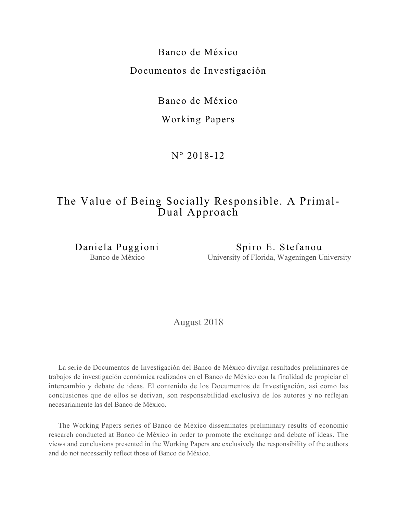Banco de México Documentos de Investigación

Banco de México

Working Papers

N° 2018-12

# The Value of Being Socially Responsible. A Primal-Dual Approach

Daniela Puggioni Banco de México

Spiro E. Stefanou University of Florida, Wageningen University

August 2018

La serie de Documentos de Investigación del Banco de México divulga resultados preliminares de trabajos de investigación económica realizados en el Banco de México con la finalidad de propiciar el intercambio y debate de ideas. El contenido de los Documentos de Investigación, así como las conclusiones que de ellos se derivan, son responsabilidad exclusiva de los autores y no reflejan necesariamente las del Banco de México.

The Working Papers series of Banco de México disseminates preliminary results of economic research conducted at Banco de México in order to promote the exchange and debate of ideas. The views and conclusions presented in the Working Papers are exclusively the responsibility of the authors and do not necessarily reflect those of Banco de México.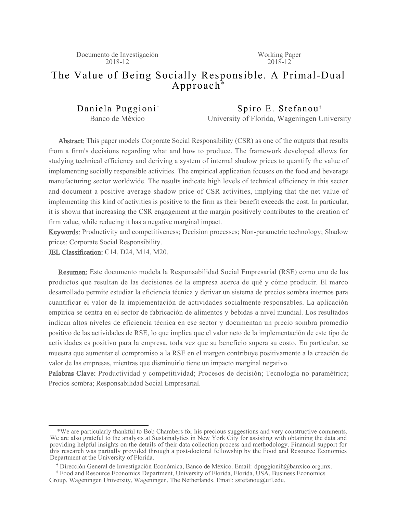Working Paper  $2018 - 12$ 

## The Value of Being Socially Responsible. A Primal-Dual Approach\*

Daniela Puggioni<sup>+</sup> Banco de México

Spiro E. Stefanou‡ University of Florida, Wageningen University

Abstract: This paper models Corporate Social Responsibility (CSR) as one of the outputs that results from a firm's decisions regarding what and how to produce. The framework developed allows for studying technical efficiency and deriving a system of internal shadow prices to quantify the value of implementing socially responsible activities. The empirical application focuses on the food and beverage manufacturing sector worldwide. The results indicate high levels of technical efficiency in this sector and document a positive average shadow price of CSR activities, implying that the net value of implementing this kind of activities is positive to the firm as their benefit exceeds the cost. In particular, it is shown that increasing the CSR engagement at the margin positively contributes to the creation of firm value, while reducing it has a negative marginal impact.

Keywords: Productivity and competitiveness; Decision processes; Non-parametric technology; Shadow prices; Corporate Social Responsibility.

JEL Classification: C14, D24, M14, M20.

Resumen: Este documento modela la Responsabilidad Social Empresarial (RSE) como uno de los productos que resultan de las decisiones de la empresa acerca de qué y cómo producir. El marco desarrollado permite estudiar la eficiencia técnica y derivar un sistema de precios sombra internos para cuantificar el valor de la implementación de actividades socialmente responsables. La aplicación empírica se centra en el sector de fabricación de alimentos y bebidas a nivel mundial. Los resultados indican altos niveles de eficiencia técnica en ese sector y documentan un precio sombra promedio positivo de las actividades de RSE, lo que implica que el valor neto de la implementación de este tipo de actividades es positivo para la empresa, toda vez que su beneficio supera su costo. En particular, se muestra que aumentar el compromiso a la RSE en el margen contribuye positivamente a la creación de valor de las empresas, mientras que disminuirlo tiene un impacto marginal negativo.

Palabras Clave: Productividad y competitividad; Procesos de decisión; Tecnología no paramétrica; Precios sombra; Responsabilidad Social Empresarial.

<sup>\*</sup>We are particularly thankful to Bob Chambers for his precious suggestions and very constructive comments. We are also grateful to the analysts at Sustainalytics in New York City for assisting with obtaining the data and providing helpful insights on the details of their data collection process and methodology. Financial support for this research was partially provided through a post-doctoral fellowship by the Food and Resource Economics Department at the University of Florida.

<sup>†</sup> Dirección General de Investigación Económica, Banco de México. Email: dpuggionih@banxico.org.mx.

<sup>‡</sup> Food and Resource Economics Department, University of Florida, Florida, USA. Business Economics Group, Wageningen University, Wageningen, The Netherlands. Email: sstefanou@ufl.edu.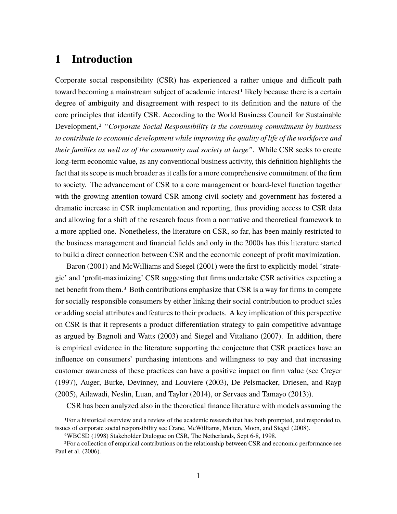### **1 Introduction**

Corporate social responsibility (CSR) has experienced a rather unique and difficult path toward becoming a mainstream subject of academic interest<sup>[1](#page-2-0)</sup> likely because there is a certain degree of ambiguity and disagreement with respect to its definition and the nature of the core principles that identify CSR. According to the World Business Council for Sustainable Development,[2](#page-2-1) *"Corporate Social Responsibility is the continuing commitment by business to contribute to economic development while improving the quality of life of the workforce and their families as well as of the community and society at large"*. While CSR seeks to create long-term economic value, as any conventional business activity, this definition highlights the fact that its scope is much broader as it calls for a more comprehensive commitment of the firm to society. The advancement of CSR to a core management or board-level function together with the growing attention toward CSR among civil society and government has fostered a dramatic increase in CSR implementation and reporting, thus providing access to CSR data and allowing for a shift of the research focus from a normative and theoretical framework to a more applied one. Nonetheless, the literature on CSR, so far, has been mainly restricted to the business management and financial fields and only in the 2000s has this literature started to build a direct connection between CSR and the economic concept of profit maximization.

[Baron](#page-30-0) [\(2001\)](#page-30-0) and [McWilliams and Siegel](#page-31-0) [\(2001\)](#page-31-0) were the first to explicitly model 'strategic' and 'profit-maximizing' CSR suggesting that firms undertake CSR activities expecting a net benefit from them.[3](#page-2-2) Both contributions emphasize that CSR is a way for firms to compete for socially responsible consumers by either linking their social contribution to product sales or adding social attributes and features to their products. A key implication of this perspective on CSR is that it represents a product differentiation strategy to gain competitive advantage as argued by [Bagnoli and Watts](#page-30-1) [\(2003\)](#page-30-1) and [Siegel and Vitaliano](#page-32-0) [\(2007\)](#page-32-0). In addition, there is empirical evidence in the literature supporting the conjecture that CSR practices have an influence on consumers' purchasing intentions and willingness to pay and that increasing customer awareness of these practices can have a positive impact on firm value (see [Creyer](#page-30-2) [\(1997\)](#page-30-2), [Auger, Burke, Devinney, and Louviere](#page-30-3) [\(2003\)](#page-30-3), [De Pelsmacker, Driesen, and Rayp](#page-30-4) [\(2005\)](#page-30-4), [Ailawadi, Neslin, Luan, and Taylor](#page-30-5) [\(2014\)](#page-30-5), or [Servaes and Tamayo](#page-32-1) [\(2013\)](#page-32-1)).

<span id="page-2-0"></span>CSR has been analyzed also in the theoretical finance literature with models assuming the

<sup>1</sup>For a historical overview and a review of the academic research that has both prompted, and responded to, issues of corporate social responsibility see [Crane, McWilliams, Matten, Moon, and Siegel](#page-30-6) [\(2008\)](#page-30-6).

<span id="page-2-2"></span><span id="page-2-1"></span><sup>2</sup>[WBCSD](#page-32-2) [\(1998\)](#page-32-2) Stakeholder Dialogue on CSR, The Netherlands, Sept 6-8, 1998.

<sup>3</sup>For a collection of empirical contributions on the relationship between CSR and economic performance see [Paul et al.](#page-31-1) [\(2006\)](#page-31-1).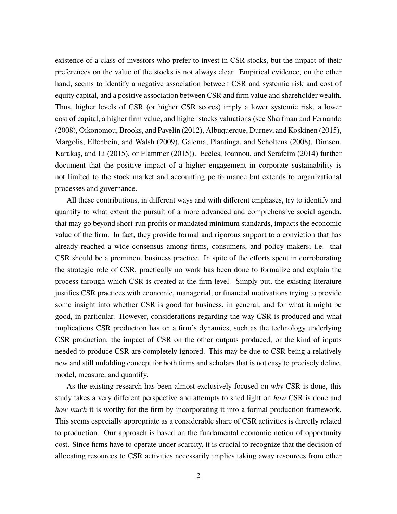existence of a class of investors who prefer to invest in CSR stocks, but the impact of their preferences on the value of the stocks is not always clear. Empirical evidence, on the other hand, seems to identify a negative association between CSR and systemic risk and cost of equity capital, and a positive association between CSR and firm value and shareholder wealth. Thus, higher levels of CSR (or higher CSR scores) imply a lower systemic risk, a lower cost of capital, a higher firm value, and higher stocks valuations (see [Sharfman and Fernando](#page-32-3) [\(2008\)](#page-32-3), [Oikonomou, Brooks, and Pavelin](#page-31-2) [\(2012\)](#page-31-2), [Albuquerque, Durnev, and Koskinen](#page-30-7) [\(2015\)](#page-30-7), [Margolis, Elfenbein, and Walsh](#page-31-3) [\(2009\)](#page-31-3), [Galema, Plantinga, and Scholtens](#page-31-4) [\(2008\)](#page-31-4), [Dimson,](#page-30-8) [Karakaş, and Li](#page-30-8) [\(2015\)](#page-30-8), or [Flammer](#page-31-5) [\(2015\)](#page-31-5)). [Eccles, Ioannou, and Serafeim](#page-31-6) [\(2014\)](#page-31-6) further document that the positive impact of a higher engagement in corporate sustainability is not limited to the stock market and accounting performance but extends to organizational processes and governance.

All these contributions, in different ways and with different emphases, try to identify and quantify to what extent the pursuit of a more advanced and comprehensive social agenda, that may go beyond short-run profits or mandated minimum standards, impacts the economic value of the firm. In fact, they provide formal and rigorous support to a conviction that has already reached a wide consensus among firms, consumers, and policy makers; i.e. that CSR should be a prominent business practice. In spite of the efforts spent in corroborating the strategic role of CSR, practically no work has been done to formalize and explain the process through which CSR is created at the firm level. Simply put, the existing literature justifies CSR practices with economic, managerial, or financial motivations trying to provide some insight into whether CSR is good for business, in general, and for what it might be good, in particular. However, considerations regarding the way CSR is produced and what implications CSR production has on a firm's dynamics, such as the technology underlying CSR production, the impact of CSR on the other outputs produced, or the kind of inputs needed to produce CSR are completely ignored. This may be due to CSR being a relatively new and still unfolding concept for both firms and scholars that is not easy to precisely define, model, measure, and quantify.

As the existing research has been almost exclusively focused on *why* CSR is done, this study takes a very different perspective and attempts to shed light on *how* CSR is done and *how much* it is worthy for the firm by incorporating it into a formal production framework. This seems especially appropriate as a considerable share of CSR activities is directly related to production. Our approach is based on the fundamental economic notion of opportunity cost. Since firms have to operate under scarcity, it is crucial to recognize that the decision of allocating resources to CSR activities necessarily implies taking away resources from other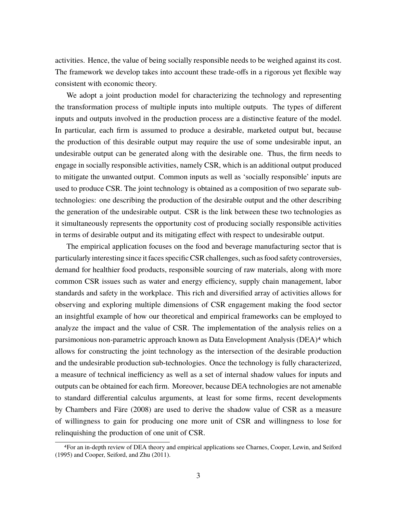activities. Hence, the value of being socially responsible needs to be weighed against its cost. The framework we develop takes into account these trade-offs in a rigorous yet flexible way consistent with economic theory.

We adopt a joint production model for characterizing the technology and representing the transformation process of multiple inputs into multiple outputs. The types of different inputs and outputs involved in the production process are a distinctive feature of the model. In particular, each firm is assumed to produce a desirable, marketed output but, because the production of this desirable output may require the use of some undesirable input, an undesirable output can be generated along with the desirable one. Thus, the firm needs to engage in socially responsible activities, namely CSR, which is an additional output produced to mitigate the unwanted output. Common inputs as well as 'socially responsible' inputs are used to produce CSR. The joint technology is obtained as a composition of two separate subtechnologies: one describing the production of the desirable output and the other describing the generation of the undesirable output. CSR is the link between these two technologies as it simultaneously represents the opportunity cost of producing socially responsible activities in terms of desirable output and its mitigating effect with respect to undesirable output.

The empirical application focuses on the food and beverage manufacturing sector that is particularly interesting since it faces specific CSR challenges, such as food safety controversies, demand for healthier food products, responsible sourcing of raw materials, along with more common CSR issues such as water and energy efficiency, supply chain management, labor standards and safety in the workplace. This rich and diversified array of activities allows for observing and exploring multiple dimensions of CSR engagement making the food sector an insightful example of how our theoretical and empirical frameworks can be employed to analyze the impact and the value of CSR. The implementation of the analysis relies on a parsimonious non-parametric approach known as Data Envelopment Analysis (DEA)[4](#page-4-0) which allows for constructing the joint technology as the intersection of the desirable production and the undesirable production sub-technologies. Once the technology is fully characterized, a measure of technical inefficiency as well as a set of internal shadow values for inputs and outputs can be obtained for each firm. Moreover, because DEA technologies are not amenable to standard differential calculus arguments, at least for some firms, recent developments by [Chambers and Färe](#page-30-9) [\(2008\)](#page-30-9) are used to derive the shadow value of CSR as a measure of willingness to gain for producing one more unit of CSR and willingness to lose for relinquishing the production of one unit of CSR.

<span id="page-4-0"></span><sup>4</sup>For an in-depth review of DEA theory and empirical applications see [Charnes, Cooper, Lewin, and Seiford](#page-30-10) [\(1995\)](#page-30-10) and [Cooper, Seiford, and Zhu](#page-30-11) [\(2011\)](#page-30-11).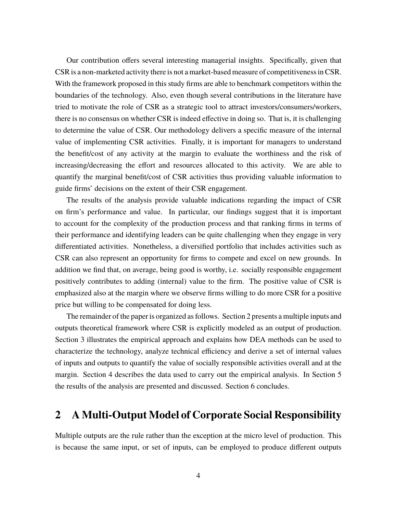Our contribution offers several interesting managerial insights. Specifically, given that CSR is a non-marketed activity there is not a market-based measure of competitiveness in CSR. With the framework proposed in this study firms are able to benchmark competitors within the boundaries of the technology. Also, even though several contributions in the literature have tried to motivate the role of CSR as a strategic tool to attract investors/consumers/workers, there is no consensus on whether CSR is indeed effective in doing so. That is, it is challenging to determine the value of CSR. Our methodology delivers a specific measure of the internal value of implementing CSR activities. Finally, it is important for managers to understand the benefit/cost of any activity at the margin to evaluate the worthiness and the risk of increasing/decreasing the effort and resources allocated to this activity. We are able to quantify the marginal benefit/cost of CSR activities thus providing valuable information to guide firms' decisions on the extent of their CSR engagement.

The results of the analysis provide valuable indications regarding the impact of CSR on firm's performance and value. In particular, our findings suggest that it is important to account for the complexity of the production process and that ranking firms in terms of their performance and identifying leaders can be quite challenging when they engage in very differentiated activities. Nonetheless, a diversified portfolio that includes activities such as CSR can also represent an opportunity for firms to compete and excel on new grounds. In addition we find that, on average, being good is worthy, i.e. socially responsible engagement positively contributes to adding (internal) value to the firm. The positive value of CSR is emphasized also at the margin where we observe firms willing to do more CSR for a positive price but willing to be compensated for doing less.

The remainder of the paper is organized as follows. Section 2 presents a multiple inputs and outputs theoretical framework where CSR is explicitly modeled as an output of production. Section 3 illustrates the empirical approach and explains how DEA methods can be used to characterize the technology, analyze technical efficiency and derive a set of internal values of inputs and outputs to quantify the value of socially responsible activities overall and at the margin. Section 4 describes the data used to carry out the empirical analysis. In Section 5 the results of the analysis are presented and discussed. Section 6 concludes.

# <span id="page-5-0"></span>**2 A Multi-Output Model of Corporate Social Responsibility**

Multiple outputs are the rule rather than the exception at the micro level of production. This is because the same input, or set of inputs, can be employed to produce different outputs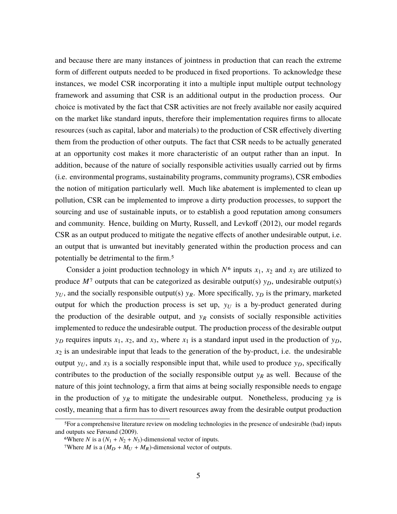and because there are many instances of jointness in production that can reach the extreme form of different outputs needed to be produced in fixed proportions. To acknowledge these instances, we model CSR incorporating it into a multiple input multiple output technology framework and assuming that CSR is an additional output in the production process. Our choice is motivated by the fact that CSR activities are not freely available nor easily acquired on the market like standard inputs, therefore their implementation requires firms to allocate resources (such as capital, labor and materials) to the production of CSR effectively diverting them from the production of other outputs. The fact that CSR needs to be actually generated at an opportunity cost makes it more characteristic of an output rather than an input. In addition, because of the nature of socially responsible activities usually carried out by firms (i.e. environmental programs, sustainability programs, community programs), CSR embodies the notion of mitigation particularly well. Much like abatement is implemented to clean up pollution, CSR can be implemented to improve a dirty production processes, to support the sourcing and use of sustainable inputs, or to establish a good reputation among consumers and community. Hence, building on [Murty, Russell, and Levkoff](#page-31-7) [\(2012\)](#page-31-7), our model regards CSR as an output produced to mitigate the negative effects of another undesirable output, i.e. an output that is unwanted but inevitably generated within the production process and can potentially be detrimental to the firm.[5](#page-6-0)

Consider a joint production technology in which  $N^6$  $N^6$  inputs  $x_1$ ,  $x_2$  and  $x_3$  are utilized to produce  $M^7$  $M^7$  outputs that can be categorized as desirable output(s)  $y_D$ , undesirable output(s)  $y_U$ , and the socially responsible output(s)  $y_R$ . More specifically,  $y_D$  is the primary, marketed output for which the production process is set up,  $y_U$  is a by-product generated during the production of the desirable output, and  $y_R$  consists of socially responsible activities implemented to reduce the undesirable output. The production process of the desirable output  $y_D$  requires inputs  $x_1$ ,  $x_2$ , and  $x_3$ , where  $x_1$  is a standard input used in the production of  $y_D$ ,  $x_2$  is an undesirable input that leads to the generation of the by-product, i.e. the undesirable output  $y_U$ , and  $x_3$  is a socially responsible input that, while used to produce  $y_D$ , specifically contributes to the production of the socially responsible output  $y_R$  as well. Because of the nature of this joint technology, a firm that aims at being socially responsible needs to engage in the production of  $y_R$  to mitigate the undesirable output. Nonetheless, producing  $y_R$  is costly, meaning that a firm has to divert resources away from the desirable output production

<span id="page-6-0"></span><sup>5</sup>For a comprehensive literature review on modeling technologies in the presence of undesirable (bad) inputs and outputs see [Førsund](#page-31-8) [\(2009\)](#page-31-8).

<span id="page-6-1"></span><sup>&</sup>lt;sup>6</sup>Where *N* is a  $(N_1 + N_2 + N_3)$ -dimensional vector of inputs.

<span id="page-6-2"></span><sup>&</sup>lt;sup>7</sup>Where *M* is a  $(M_D + M_U + M_R)$ -dimensional vector of outputs.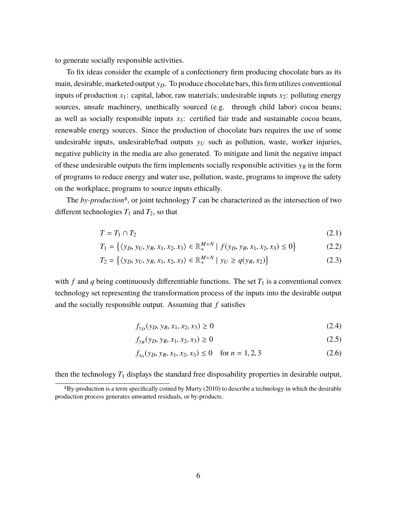to generate socially responsible activities.

To fix ideas consider the example of a confectionery firm producing chocolate bars as its main, desirable, marketed output y*D*. To produce chocolate bars, this firm utilizes conventional inputs of production  $x_1$ : capital, labor, raw materials; undesirable inputs  $x_2$ : polluting energy sources, unsafe machinery, unethically sourced (e.g. through child labor) cocoa beans; as well as socially responsible inputs  $x_3$ : certified fair trade and sustainable cocoa beans, renewable energy sources. Since the production of chocolate bars requires the use of some undesirable inputs, undesirable/bad outputs  $y_U$  such as pollution, waste, worker injuries, negative publicity in the media are also generated. To mitigate and limit the negative impact of these undesirable outputs the firm implements socially responsible activities  $y_R$  in the form of programs to reduce energy and water use, pollution, waste, programs to improve the safety on the workplace, programs to source inputs ethically.

The *by-production*<sup>[8](#page-7-0)</sup>, or joint technology *T* can be characterized as the intersection of two different technologies  $T_1$  and  $T_2$ , so that

$$
T = T_1 \cap T_2 \tag{2.1}
$$

$$
T_1 = \left\{ \langle y_D, y_U, y_R, x_1, x_2, x_3 \rangle \in \mathbb{R}_+^{M+N} \mid f(y_D, y_R, x_1, x_2, x_3) \le 0 \right\}
$$
 (2.2)

$$
T_2 = \left\{ \langle y_D, y_U, y_R, x_1, x_2, x_3 \rangle \in \mathbb{R}_+^{M+N} \mid y_U \ge q(y_R, x_2) \right\}
$$
 (2.3)

with  $f$  and  $q$  being continuously differentiable functions. The set  $T_1$  is a conventional convex technology set representing the transformation process of the inputs into the desirable output and the socially responsible output. Assuming that *f* satisfies

<span id="page-7-3"></span><span id="page-7-2"></span><span id="page-7-1"></span>
$$
f_{y_D}(y_D, y_R, x_1, x_2, x_3) \ge 0
$$
\n(2.4)

$$
f_{y_R}(y_D, y_R, x_1, x_2, x_3) \ge 0
$$
\n(2.5)

<span id="page-7-4"></span>
$$
f_{x_n}(y_D, y_R, x_1, x_2, x_3) \le 0 \quad \text{for } n = 1, 2, 3
$$
 (2.6)

then the technology  $T_1$  displays the standard free disposability properties in desirable output,

<span id="page-7-0"></span><sup>8</sup>By-production is a term specifically coined by [Murty](#page-31-9) [\(2010\)](#page-31-9) to describe a technology in which the desirable production process generates unwanted residuals, or by-products.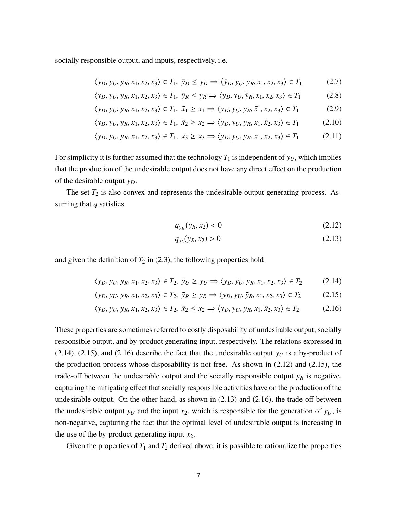socially responsible output, and inputs, respectively, i.e.

$$
\langle y_D, y_U, y_R, x_1, x_2, x_3 \rangle \in T_1, \ \overline{y}_D \le y_D \Rightarrow \langle \overline{y}_D, y_U, y_R, x_1, x_2, x_3 \rangle \in T_1 \tag{2.7}
$$

$$
\langle y_D, y_U, y_R, x_1, x_2, x_3 \rangle \in T_1, \ \overline{y}_R \le y_R \Rightarrow \langle y_D, y_U, \overline{y}_R, x_1, x_2, x_3 \rangle \in T_1 \tag{2.8}
$$

$$
\langle y_D, y_U, y_R, x_1, x_2, x_3 \rangle \in T_1, \ \bar{x}_1 \ge x_1 \Rightarrow \langle y_D, y_U, y_R, \bar{x}_1, x_2, x_3 \rangle \in T_1 \tag{2.9}
$$

$$
\langle y_D, y_U, y_R, x_1, x_2, x_3 \rangle \in T_1, \ \bar{x}_2 \ge x_2 \Rightarrow \langle y_D, y_U, y_R, x_1, \bar{x}_2, x_3 \rangle \in T_1 \tag{2.10}
$$

$$
\langle y_D, y_U, y_R, x_1, x_2, x_3 \rangle \in T_1, \ \bar{x}_3 \ge x_3 \Rightarrow \langle y_D, y_U, y_R, x_1, x_2, \bar{x}_3 \rangle \in T_1 \tag{2.11}
$$

For simplicity it is further assumed that the technology  $T_1$  is independent of  $y_U$ , which implies that the production of the undesirable output does not have any direct effect on the production of the desirable output y*D*.

The set  $T_2$  is also convex and represents the undesirable output generating process. Assuming that *q* satisfies

$$
q_{y_R}(y_R, x_2) < 0 \tag{2.12}
$$

<span id="page-8-4"></span><span id="page-8-3"></span><span id="page-8-2"></span><span id="page-8-1"></span><span id="page-8-0"></span>
$$
q_{x_2}(y_R, x_2) > 0 \tag{2.13}
$$

and given the definition of  $T_2$  in [\(2.3\)](#page-7-1), the following properties hold

$$
\langle y_D, y_U, y_R, x_1, x_2, x_3 \rangle \in T_2, \ \overline{y}_U \ge y_U \Rightarrow \langle y_D, \overline{y}_U, y_R, x_1, x_2, x_3 \rangle \in T_2 \tag{2.14}
$$

$$
\langle y_D, y_U, y_R, x_1, x_2, x_3 \rangle \in T_2, \ \overline{y}_R \ge y_R \Rightarrow \langle y_D, y_U, \overline{y}_R, x_1, x_2, x_3 \rangle \in T_2 \tag{2.15}
$$

$$
\langle y_D, y_U, y_R, x_1, x_2, x_3 \rangle \in T_2, \ \bar{x}_2 \le x_2 \Rightarrow \langle y_D, y_U, y_R, x_1, \bar{x}_2, x_3 \rangle \in T_2 \tag{2.16}
$$

These properties are sometimes referred to costly disposability of undesirable output, socially responsible output, and by-product generating input, respectively. The relations expressed in [\(2.14\)](#page-8-0), [\(2.15\)](#page-8-1), and [\(2.16\)](#page-8-2) describe the fact that the undesirable output  $y_U$  is a by-product of the production process whose disposability is not free. As shown in [\(2.12\)](#page-8-3) and [\(2.15\)](#page-8-1), the trade-off between the undesirable output and the socially responsible output  $y_R$  is negative, capturing the mitigating effect that socially responsible activities have on the production of the undesirable output. On the other hand, as shown in [\(2.13\)](#page-8-4) and [\(2.16\)](#page-8-2), the trade-off between the undesirable output  $y_U$  and the input  $x_2$ , which is responsible for the generation of  $y_U$ , is non-negative, capturing the fact that the optimal level of undesirable output is increasing in the use of the by-product generating input  $x_2$ .

Given the properties of  $T_1$  and  $T_2$  derived above, it is possible to rationalize the properties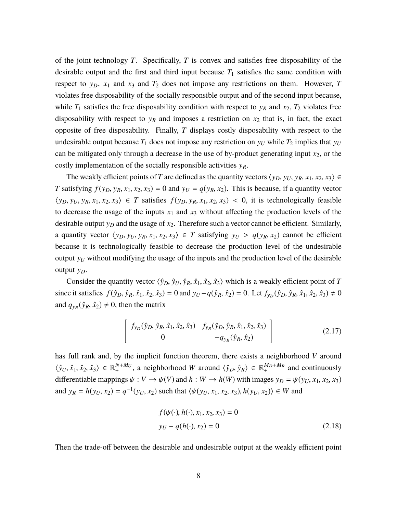of the joint technology *T*. Specifically, *T* is convex and satisfies free disposability of the desirable output and the first and third input because  $T_1$  satisfies the same condition with respect to  $y_D$ ,  $x_1$  and  $x_3$  and  $T_2$  does not impose any restrictions on them. However, *T* violates free disposability of the socially responsible output and of the second input because, while  $T_1$  satisfies the free disposability condition with respect to  $y_R$  and  $x_2$ ,  $T_2$  violates free disposability with respect to  $y_R$  and imposes a restriction on  $x_2$  that is, in fact, the exact opposite of free disposability. Finally, *T* displays costly disposability with respect to the undesirable output because  $T_1$  does not impose any restriction on  $y_U$  while  $T_2$  implies that  $y_U$ can be mitigated only through a decrease in the use of by-product generating input  $x_2$ , or the costly implementation of the socially responsible activities y*R*.

The weakly efficient points of *T* are defined as the quantity vectors  $\langle y_D, y_U, y_R, x_1, x_2, x_3 \rangle \in$ *T* satisfying  $f(y_D, y_R, x_1, x_2, x_3) = 0$  and  $y_U = q(y_R, x_2)$ . This is because, if a quantity vector  $\langle y_D, y_U, y_R, x_1, x_2, x_3 \rangle \in T$  satisfies  $f(y_D, y_R, x_1, x_2, x_3) < 0$ , it is technologically feasible to decrease the usage of the inputs  $x_1$  and  $x_3$  without affecting the production levels of the desirable output y*<sup>D</sup>* and the usage of *x*2. Therefore such a vector cannot be efficient. Similarly, a quantity vector  $\langle y_D, y_U, y_R, x_1, x_2, x_3 \rangle \in T$  satisfying  $y_U > q(y_R, x_2)$  cannot be efficient because it is technologically feasible to decrease the production level of the undesirable output  $y_U$  without modifying the usage of the inputs and the production level of the desirable output y*D*.

Consider the quantity vector  $\langle \hat{y}_D, \hat{y}_U, \hat{y}_R, \hat{x}_1, \hat{x}_2, \hat{x}_3 \rangle$  which is a weakly efficient point of *T* since it satisfies  $f(\hat{y}_D, \hat{y}_R, \hat{x}_1, \hat{x}_2, \hat{x}_3) = 0$  and  $y_U - q(\hat{y}_R, \hat{x}_2) = 0$ . Let  $f_{y_D}(\hat{y}_D, \hat{y}_R, \hat{x}_1, \hat{x}_2, \hat{x}_3) \neq 0$ and  $q_{y_R}(\hat{y}_R, \hat{x}_2) \neq 0$ , then the matrix

$$
\begin{bmatrix}\nf_{y_D}(\hat{y}_D, \hat{y}_R, \hat{x}_1, \hat{x}_2, \hat{x}_3) & f_{y_R}(\hat{y}_D, \hat{y}_R, \hat{x}_1, \hat{x}_2, \hat{x}_3) \\
0 & -q_{y_R}(\hat{y}_R, \hat{x}_2)\n\end{bmatrix}
$$
\n(2.17)

has full rank and, by the implicit function theorem, there exists a neighborhood *V* around  $\langle \hat{y}_U, \hat{x}_1, \hat{x}_2, \hat{x}_3 \rangle \in \mathbb{R}_+^{N+M_U}$ , a neighborhood *W* around  $\langle \hat{y}_D, \hat{y}_R \rangle \in \mathbb{R}_+^{M_D+M_R}$  and continuously differentiable mappings  $\psi : V \to \psi(V)$  and  $h : W \to h(W)$  with images  $y_D = \psi(y_U, x_1, x_2, x_3)$ and  $y_R = h(y_U, x_2) = q^{-1}(y_U, x_2)$  such that  $\langle \psi(y_U, x_1, x_2, x_3), h(y_U, x_2) \rangle \in W$  and

$$
f(\psi(\cdot), h(\cdot), x_1, x_2, x_3) = 0
$$
  

$$
y_U - q(h(\cdot), x_2) = 0
$$
 (2.18)

Then the trade-off between the desirable and undesirable output at the weakly efficient point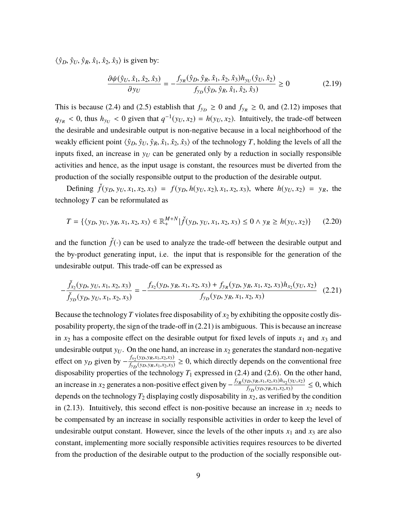$\langle \hat{y}_D, \hat{y}_U, \hat{y}_R, \hat{x}_1, \hat{x}_2, \hat{x}_3 \rangle$  is given by:

$$
\frac{\partial \psi(\hat{y}_U, \hat{x}_1, \hat{x}_2, \hat{x}_3)}{\partial y_U} = -\frac{f_{y_R}(\hat{y}_D, \hat{y}_R, \hat{x}_1, \hat{x}_2, \hat{x}_3) h_{y_U}(\hat{y}_U, \hat{x}_2)}{f_{y_D}(\hat{y}_D, \hat{y}_R, \hat{x}_1, \hat{x}_2, \hat{x}_3)} \ge 0
$$
\n(2.19)

This is because [\(2.4\)](#page-7-2) and [\(2.5\)](#page-7-3) establish that  $f_{y_D} \ge 0$  and  $f_{y_R} \ge 0$ , and [\(2.12\)](#page-8-3) imposes that  $q_{y_R}$  < 0, thus  $h_{y_U}$  < 0 given that  $q^{-1}(y_U, x_2) = h(y_U, x_2)$ . Intuitively, the trade-off between the desirable and undesirable output is non-negative because in a local neighborhood of the weakly efficient point  $\langle \hat{y}_D, \hat{y}_U, \hat{y}_R, \hat{x}_1, \hat{x}_2, \hat{x}_3 \rangle$  of the technology *T*, holding the levels of all the inputs fixed, an increase in  $y_U$  can be generated only by a reduction in socially responsible activities and hence, as the input usage is constant, the resources must be diverted from the production of the socially responsible output to the production of the desirable output.

Defining  $\dot{f}(y_D, y_U, x_1, x_2, x_3) = f(y_D, h(y_U, x_2), x_1, x_2, x_3)$ , where  $h(y_U, x_2) = y_R$ , the technology *T* can be reformulated as

$$
T = \{ \langle y_D, y_U, y_R, x_1, x_2, x_3 \rangle \in \mathbb{R}_+^{M+N} | \check{f}(y_D, y_U, x_1, x_2, x_3) \le 0 \land y_R \ge h(y_U, x_2) \} \tag{2.20}
$$

and the function  $\check{f}(\cdot)$  can be used to analyze the trade-off between the desirable output and the by-product generating input, i.e. the input that is responsible for the generation of the undesirable output. This trade-off can be expressed as

<span id="page-10-0"></span>
$$
-\frac{\check{f}_{x_2}(y_D, y_U, x_1, x_2, x_3)}{\check{f}_{y_D}(y_D, y_U, x_1, x_2, x_3)} = -\frac{f_{x_2}(y_D, y_R, x_1, x_2, x_3) + f_{y_R}(y_D, y_R, x_1, x_2, x_3)h_{x_2}(y_U, x_2)}{f_{y_D}(y_D, y_R, x_1, x_2, x_3)}
$$
(2.21)

Because the technology*T* violates free disposability of *x*<sup>2</sup> by exhibiting the opposite costly disposability property, the sign of the trade-off in [\(2.21\)](#page-10-0) is ambiguous. This is because an increase in  $x_2$  has a composite effect on the desirable output for fixed levels of inputs  $x_1$  and  $x_3$  and undesirable output  $y_U$ . On the one hand, an increase in  $x_2$  generates the standard non-negative effect on  $y_D$  given by  $-\frac{f_{x_2}(y_D,y_R,x_1,x_2,x_3)}{f_{y_D}(y_D,y_R,x_1,x_2,x_3)} \ge 0$ , which directly depends on the conventional free disposability properties of the technology  $T_1$  expressed in  $(2.4)$  and  $(2.6)$ . On the other hand, an increase in *x*<sub>2</sub> generates a non-positive effect given by  $-\frac{f_{y_R}(y_D, y_R, x_1, x_2, x_3)h_{x_2}(y_U, x_2)}{f_{y_D}(y_D, y_R, x_1, x_2, x_3)} \le 0$ , which depends on the technology  $T_2$  displaying costly disposability in  $x_2$ , as verified by the condition in [\(2.13\)](#page-8-4). Intuitively, this second effect is non-positive because an increase in  $x_2$  needs to be compensated by an increase in socially responsible activities in order to keep the level of undesirable output constant. However, since the levels of the other inputs  $x_1$  and  $x_3$  are also constant, implementing more socially responsible activities requires resources to be diverted from the production of the desirable output to the production of the socially responsible out-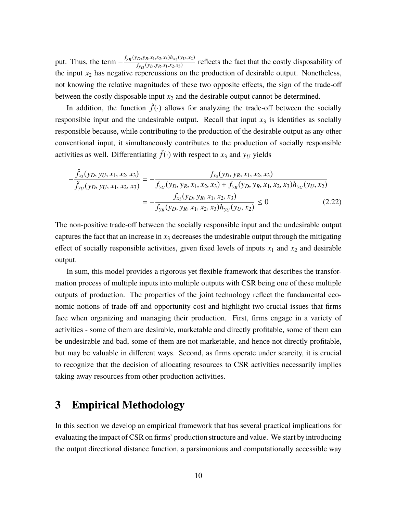put. Thus, the term  $-\frac{f_{y_R}(y_D,y_R,x_1,x_2,x_3)h_{x_2}(y_U,x_2)}{f_{y_D}(y_D,y_R,x_1,x_2,x_3)}$  reflects the fact that the costly disposability of the input *x*<sup>2</sup> has negative repercussions on the production of desirable output. Nonetheless, not knowing the relative magnitudes of these two opposite effects, the sign of the trade-off between the costly disposable input  $x_2$  and the desirable output cannot be determined.

In addition, the function  $\dot{f}(\cdot)$  allows for analyzing the trade-off between the socially responsible input and the undesirable output. Recall that input  $x_3$  is identifies as socially responsible because, while contributing to the production of the desirable output as any other conventional input, it simultaneously contributes to the production of socially responsible activities as well. Differentiating  $\check{f}(\cdot)$  with respect to  $x_3$  and  $y_U$  yields

$$
-\frac{\check{f}_{x_3}(y_D, y_U, x_1, x_2, x_3)}{\check{f}_{y_U}(y_D, y_U, x_1, x_2, x_3)} = -\frac{f_{x_3}(y_D, y_R, x_1, x_2, x_3)}{f_{y_U}(y_D, y_R, x_1, x_2, x_3) + f_{y_R}(y_D, y_R, x_1, x_2, x_3)h_{y_U}(y_U, x_2)}
$$
  
= 
$$
-\frac{f_{x_3}(y_D, y_R, x_1, x_2, x_3)}{f_{y_R}(y_D, y_R, x_1, x_2, x_3)h_{y_U}(y_U, x_2)} \le 0
$$
 (2.22)

The non-positive trade-off between the socially responsible input and the undesirable output captures the fact that an increase in  $x_3$  decreases the undesirable output through the mitigating effect of socially responsible activities, given fixed levels of inputs  $x_1$  and  $x_2$  and desirable output.

In sum, this model provides a rigorous yet flexible framework that describes the transformation process of multiple inputs into multiple outputs with CSR being one of these multiple outputs of production. The properties of the joint technology reflect the fundamental economic notions of trade-off and opportunity cost and highlight two crucial issues that firms face when organizing and managing their production. First, firms engage in a variety of activities - some of them are desirable, marketable and directly profitable, some of them can be undesirable and bad, some of them are not marketable, and hence not directly profitable, but may be valuable in different ways. Second, as firms operate under scarcity, it is crucial to recognize that the decision of allocating resources to CSR activities necessarily implies taking away resources from other production activities.

# **3 Empirical Methodology**

In this section we develop an empirical framework that has several practical implications for evaluating the impact of CSR on firms' production structure and value. We start by introducing the output directional distance function, a parsimonious and computationally accessible way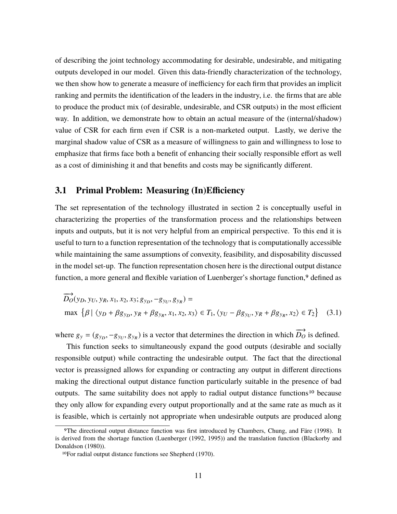of describing the joint technology accommodating for desirable, undesirable, and mitigating outputs developed in our model. Given this data-friendly characterization of the technology, we then show how to generate a measure of inefficiency for each firm that provides an implicit ranking and permits the identification of the leaders in the industry, i.e. the firms that are able to produce the product mix (of desirable, undesirable, and CSR outputs) in the most efficient way. In addition, we demonstrate how to obtain an actual measure of the (internal/shadow) value of CSR for each firm even if CSR is a non-marketed output. Lastly, we derive the marginal shadow value of CSR as a measure of willingness to gain and willingness to lose to emphasize that firms face both a benefit of enhancing their socially responsible effort as well as a cost of diminishing it and that benefits and costs may be significantly different.

#### **3.1 Primal Problem: Measuring (In)Efficiency**

The set representation of the technology illustrated in section [2](#page-5-0) is conceptually useful in characterizing the properties of the transformation process and the relationships between inputs and outputs, but it is not very helpful from an empirical perspective. To this end it is useful to turn to a function representation of the technology that is computationally accessible while maintaining the same assumptions of convexity, feasibility, and disposability discussed in the model set-up. The function representation chosen here is the directional output distance function, a more general and flexible variation of Luenberger's shortage function,<sup>[9](#page-12-0)</sup> defined as

<span id="page-12-2"></span>
$$
\overrightarrow{D_O}(y_D, y_U, y_R, x_1, x_2, x_3; g_{y_D}, -g_{y_U}, g_{y_R}) =
$$
\n
$$
\max \{ \beta \mid \langle y_D + \beta g_{y_D}, y_R + \beta g_{y_R}, x_1, x_2, x_3 \rangle \in T_1, \langle y_U - \beta g_{y_U}, y_R + \beta g_{y_R}, x_2 \rangle \in T_2 \} \quad (3.1)
$$

where  $g_y = (g_{y_D}, -g_{y_U}, g_{y_R})$  is a vector that determines the direction in which  $\overrightarrow{D_O}$  $D_O$  is defined.

This function seeks to simultaneously expand the good outputs (desirable and socially responsible output) while contracting the undesirable output. The fact that the directional vector is preassigned allows for expanding or contracting any output in different directions making the directional output distance function particularly suitable in the presence of bad outputs. The same suitability does not apply to radial output distance functions[10](#page-12-1) because they only allow for expanding every output proportionally and at the same rate as much as it is feasible, which is certainly not appropriate when undesirable outputs are produced along

<span id="page-12-0"></span><sup>9</sup>The directional output distance function was first introduced by [Chambers, Chung, and Färe](#page-30-12) [\(1998\)](#page-30-12). It is derived from the shortage function [\(Luenberger](#page-31-10) [\(1992,](#page-31-10) [1995\)](#page-31-11)) and the translation function [\(Blackorby and](#page-30-13) [Donaldson](#page-30-13) [\(1980\)](#page-30-13)).

<span id="page-12-1"></span><sup>10</sup>For radial output distance functions see [Shepherd](#page-32-4) [\(1970\)](#page-32-4).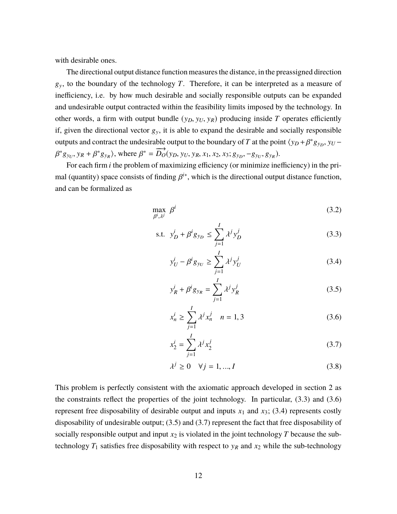with desirable ones.

The directional output distance function measures the distance, in the preassigned direction  $g_y$ , to the boundary of the technology *T*. Therefore, it can be interpreted as a measure of inefficiency, i.e. by how much desirable and socially responsible outputs can be expanded and undesirable output contracted within the feasibility limits imposed by the technology. In other words, a firm with output bundle  $(y_D, y_U, y_R)$  producing inside  $T$  operates efficiently if, given the directional vector  $g_y$ , it is able to expand the desirable and socially responsible outputs and contract the undesirable output to the boundary of *T* at the point  $\langle y_D + \beta^* g_{y_D}, y_U - \beta^* g_{y_D}, y_U - \beta^* g_{y_D}, y_U - \beta^* g_{y_D}, y_U - \beta^* g_{y_D}, y_U - \beta^* g_{y_D}, y_U - \beta^* g_{y_D}, y_U - \beta^* g_{y_D}, y_U - \beta^* g_{y_D}, y_U - \beta^* g_{y_D}, y_U - \beta^* g_{y_D}, y_U - \beta^$  $\beta^* g_{yU}, y_R + \beta^* g_{yR}$ , where  $\beta^* = \overrightarrow{Do}(y_D, y_U, y_R, x_1, x_2, x_3; g_{yD}, -g_{yU}, g_{yR})$ .

For each firm *i* the problem of maximizing efficiency (or minimize inefficiency) in the primal (quantity) space consists of finding  $\beta^{i*}$ , which is the directional output distance function, and can be formalized as

$$
\max_{\beta^i,\lambda^j} \beta^i \tag{3.2}
$$

<span id="page-13-5"></span><span id="page-13-4"></span><span id="page-13-3"></span><span id="page-13-2"></span><span id="page-13-1"></span><span id="page-13-0"></span>*I*

s.t. 
$$
y_D^i + \beta^i g_{y_D} \le \sum_{j=1}^I \lambda^j y_D^j
$$
 (3.3)

$$
y_U^i - \beta^i g_{y_U} \ge \sum_{j=1}^I \lambda^j y_U^j \tag{3.4}
$$

$$
y_R^i + \beta^i g_{y_R} = \sum_{j=1}^I \lambda^j y_R^j
$$
 (3.5)

$$
x_n^i \ge \sum_{j=1}^I \lambda^j x_n^j \quad n = 1, 3
$$
 (3.6)

$$
x_2^i = \sum_{j=1}^I \lambda^j x_2^j \tag{3.7}
$$

<span id="page-13-6"></span>
$$
\lambda^j \ge 0 \quad \forall j = 1, ..., I \tag{3.8}
$$

This problem is perfectly consistent with the axiomatic approach developed in section [2](#page-5-0) as the constraints reflect the properties of the joint technology. In particular, [\(3.3\)](#page-13-0) and [\(3.6\)](#page-13-1) represent free disposability of desirable output and inputs  $x_1$  and  $x_3$ ; [\(3.4\)](#page-13-2) represents costly disposability of undesirable output; [\(3.5\)](#page-13-3) and [\(3.7\)](#page-13-4) represent the fact that free disposability of socially responsible output and input  $x_2$  is violated in the joint technology  $T$  because the subtechnology  $T_1$  satisfies free disposability with respect to  $y_R$  and  $x_2$  while the sub-technology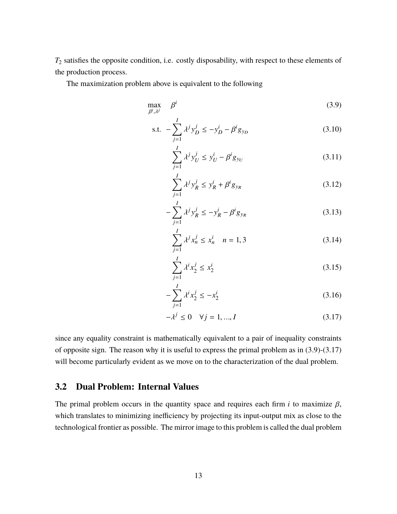*T*<sup>2</sup> satisfies the opposite condition, i.e. costly disposability, with respect to these elements of the production process.

The maximization problem above is equivalent to the following

$$
\max_{\beta^i, \lambda^j} \beta^i \tag{3.9}
$$

s.t. 
$$
-\sum_{j=1}^{I} \lambda^j y_D^j \le -y_D^i - \beta^i g_{y_D}
$$
 (3.10)

<span id="page-14-0"></span>
$$
\sum_{j=1}^{I} \lambda^j y_U^j \le y_U^i - \beta^i g_{y_U}
$$
\n(3.11)

$$
\sum_{j=1}^{I} \lambda^j y_R^j \le y_R^i + \beta^i g_{y_R}
$$
 (3.12)

$$
-\sum_{j=1}^{I} \lambda^j y_R^j \le -y_R^i - \beta^i g_{y_R}
$$
 (3.13)

$$
\sum_{j=1}^{I} \lambda^j x_n^j \le x_n^i \quad n = 1, 3
$$
\n(3.14)

$$
\sum_{j=1}^{I} \lambda^i x_2^j \le x_2^i \tag{3.15}
$$

$$
-\sum_{j=1}^{I} \lambda^i x_2^j \le -x_2^i \tag{3.16}
$$

$$
-\lambda^j \le 0 \quad \forall j = 1, ..., I \tag{3.17}
$$

since any equality constraint is mathematically equivalent to a pair of inequality constraints of opposite sign. The reason why it is useful to express the primal problem as in [\(3.9\)](#page-14-0)-[\(3.17\)](#page-14-1) will become particularly evident as we move on to the characterization of the dual problem.

<span id="page-14-1"></span>*I*

### <span id="page-14-2"></span>**3.2 Dual Problem: Internal Values**

The primal problem occurs in the quantity space and requires each firm *i* to maximize  $\beta$ , which translates to minimizing inefficiency by projecting its input-output mix as close to the technological frontier as possible. The mirror image to this problem is called the dual problem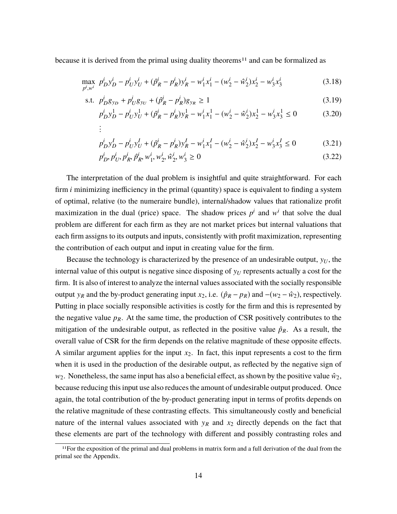because it is derived from the primal using duality theorems<sup>[11](#page-15-0)</sup> and can be formalized as

$$
\max_{p^i, w^i} \ p^i_D y^i_D - p^i_U y^i_U + (\hat{p}^i_R - p^i_R) y^i_R - w^i_1 x^i_1 - (w^i_2 - \hat{w}^i_2) x^i_2 - w^i_3 x^i_3 \tag{3.18}
$$

s.t. 
$$
p_D^i g_{y_D} + p_U^i g_{y_U} + (\hat{p}_R^i - p_R^i) g_{y_R} \ge 1
$$
 (3.19)

<span id="page-15-4"></span><span id="page-15-2"></span><span id="page-15-1"></span>
$$
p_D^i y_D^1 - p_U^i y_U^1 + (\hat{p}_R^i - p_R^i) y_R^1 - w_1^i x_1^1 - (w_2^i - \hat{w}_2^i) x_2^1 - w_3^i x_3^1 \le 0
$$
 (3.20)

$$
\vdots
$$
\n
$$
p_D^i y_D^I - p_U^i y_U^I + (\hat{p}_R^i - p_R^i) y_R^I - w_1^i x_1^I - (w_2^i - \hat{w}_2^i) x_2^I - w_3^i x_3^I \le 0
$$
\n(3.21)

<span id="page-15-5"></span><span id="page-15-3"></span>
$$
p_D^i, p_U^i, p_R^i, \hat{p}_R^i, w_1^i, w_2^i, \hat{w}_2^i, w_3^i \ge 0
$$
\n(3.22)

The interpretation of the dual problem is insightful and quite straightforward. For each firm *i* minimizing inefficiency in the primal (quantity) space is equivalent to finding a system of optimal, relative (to the numeraire bundle), internal/shadow values that rationalize profit maximization in the dual (price) space. The shadow prices  $p^i$  and  $w^i$  that solve the dual problem are different for each firm as they are not market prices but internal valuations that each firm assigns to its outputs and inputs, consistently with profit maximization, representing the contribution of each output and input in creating value for the firm.

Because the technology is characterized by the presence of an undesirable output, y*U*, the internal value of this output is negative since disposing of  $y_U$  represents actually a cost for the firm. It is also of interest to analyze the internal values associated with the socially responsible output y<sub>R</sub> and the by-product generating input  $x_2$ , i.e.  $(\hat{p}_R - p_R)$  and  $-(w_2 - \hat{w}_2)$ , respectively. Putting in place socially responsible activities is costly for the firm and this is represented by the negative value  $p_R$ . At the same time, the production of CSR positively contributes to the mitigation of the undesirable output, as reflected in the positive value  $\hat{p}_R$ . As a result, the overall value of CSR for the firm depends on the relative magnitude of these opposite effects. A similar argument applies for the input  $x_2$ . In fact, this input represents a cost to the firm when it is used in the production of the desirable output, as reflected by the negative sign of  $w_2$ . Nonetheless, the same input has also a beneficial effect, as shown by the positive value  $\hat{w}_2$ , because reducing this input use also reduces the amount of undesirable output produced. Once again, the total contribution of the by-product generating input in terms of profits depends on the relative magnitude of these contrasting effects. This simultaneously costly and beneficial nature of the internal values associated with  $y_R$  and  $x_2$  directly depends on the fact that these elements are part of the technology with different and possibly contrasting roles and

<span id="page-15-0"></span><sup>11</sup>For the exposition of the primal and dual problems in matrix form and a full derivation of the dual from the primal see the Appendix.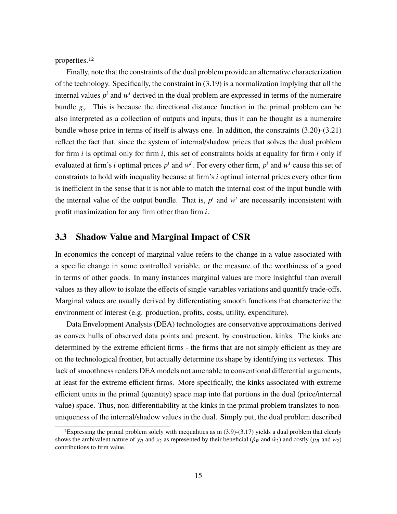properties.[12](#page-16-0)

Finally, note that the constraints of the dual problem provide an alternative characterization of the technology. Specifically, the constraint in [\(3.19\)](#page-15-1) is a normalization implying that all the internal values  $p^i$  and  $w^i$  derived in the dual problem are expressed in terms of the numeraire bundle  $g_y$ . This is because the directional distance function in the primal problem can be also interpreted as a collection of outputs and inputs, thus it can be thought as a numeraire bundle whose price in terms of itself is always one. In addition, the constraints [\(3.20\)](#page-15-2)-[\(3.21\)](#page-15-3) reflect the fact that, since the system of internal/shadow prices that solves the dual problem for firm *i* is optimal only for firm *i*, this set of constraints holds at equality for firm *i* only if evaluated at firm's *i* optimal prices  $p^i$  and  $w^i$ . For every other firm,  $p^i$  and  $w^i$  cause this set of constraints to hold with inequality because at firm's *i* optimal internal prices every other firm is inefficient in the sense that it is not able to match the internal cost of the input bundle with the internal value of the output bundle. That is,  $p^i$  and  $w^i$  are necessarily inconsistent with profit maximization for any firm other than firm *i*.

#### **3.3 Shadow Value and Marginal Impact of CSR**

In economics the concept of marginal value refers to the change in a value associated with a specific change in some controlled variable, or the measure of the worthiness of a good in terms of other goods. In many instances marginal values are more insightful than overall values as they allow to isolate the effects of single variables variations and quantify trade-offs. Marginal values are usually derived by differentiating smooth functions that characterize the environment of interest (e.g. production, profits, costs, utility, expenditure).

Data Envelopment Analysis (DEA) technologies are conservative approximations derived as convex hulls of observed data points and present, by construction, kinks. The kinks are determined by the extreme efficient firms - the firms that are not simply efficient as they are on the technological frontier, but actually determine its shape by identifying its vertexes. This lack of smoothness renders DEA models not amenable to conventional differential arguments, at least for the extreme efficient firms. More specifically, the kinks associated with extreme efficient units in the primal (quantity) space map into flat portions in the dual (price/internal value) space. Thus, non-differentiability at the kinks in the primal problem translates to nonuniqueness of the internal/shadow values in the dual. Simply put, the dual problem described

<span id="page-16-0"></span><sup>&</sup>lt;sup>12</sup>Expressing the primal problem solely with inequalities as in  $(3.9)$ - $(3.17)$  yields a dual problem that clearly shows the ambivalent nature of  $y_R$  and  $x_2$  as represented by their beneficial ( $\hat{p}_R$  and  $\hat{w}_2$ ) and costly ( $p_R$  and  $w_2$ ) contributions to firm value.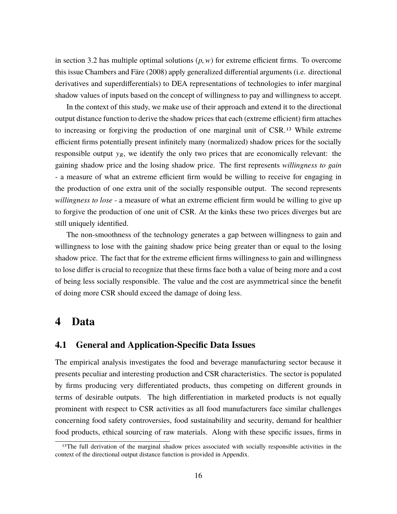in section [3.2](#page-14-2) has multiple optimal solutions  $(p, w)$  for extreme efficient firms. To overcome this issue [Chambers and Färe](#page-30-9) [\(2008\)](#page-30-9) apply generalized differential arguments (i.e. directional derivatives and superdifferentials) to DEA representations of technologies to infer marginal shadow values of inputs based on the concept of willingness to pay and willingness to accept.

In the context of this study, we make use of their approach and extend it to the directional output distance function to derive the shadow prices that each (extreme efficient) firm attaches to increasing or forgiving the production of one marginal unit of CSR.[13](#page-17-0) While extreme efficient firms potentially present infinitely many (normalized) shadow prices for the socially responsible output  $y_R$ , we identify the only two prices that are economically relevant: the gaining shadow price and the losing shadow price. The first represents *willingness to gain* - a measure of what an extreme efficient firm would be willing to receive for engaging in the production of one extra unit of the socially responsible output. The second represents *willingness to lose* - a measure of what an extreme efficient firm would be willing to give up to forgive the production of one unit of CSR. At the kinks these two prices diverges but are still uniquely identified.

The non-smoothness of the technology generates a gap between willingness to gain and willingness to lose with the gaining shadow price being greater than or equal to the losing shadow price. The fact that for the extreme efficient firms willingness to gain and willingness to lose differ is crucial to recognize that these firms face both a value of being more and a cost of being less socially responsible. The value and the cost are asymmetrical since the benefit of doing more CSR should exceed the damage of doing less.

### **4 Data**

#### **4.1 General and Application-Specific Data Issues**

The empirical analysis investigates the food and beverage manufacturing sector because it presents peculiar and interesting production and CSR characteristics. The sector is populated by firms producing very differentiated products, thus competing on different grounds in terms of desirable outputs. The high differentiation in marketed products is not equally prominent with respect to CSR activities as all food manufacturers face similar challenges concerning food safety controversies, food sustainability and security, demand for healthier food products, ethical sourcing of raw materials. Along with these specific issues, firms in

<span id="page-17-0"></span><sup>&</sup>lt;sup>13</sup>The full derivation of the marginal shadow prices associated with socially responsible activities in the context of the directional output distance function is provided in Appendix.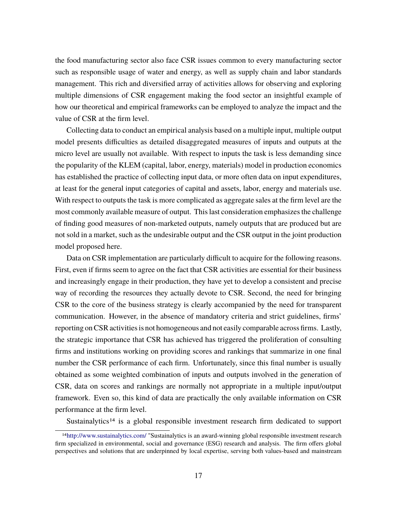the food manufacturing sector also face CSR issues common to every manufacturing sector such as responsible usage of water and energy, as well as supply chain and labor standards management. This rich and diversified array of activities allows for observing and exploring multiple dimensions of CSR engagement making the food sector an insightful example of how our theoretical and empirical frameworks can be employed to analyze the impact and the value of CSR at the firm level.

Collecting data to conduct an empirical analysis based on a multiple input, multiple output model presents difficulties as detailed disaggregated measures of inputs and outputs at the micro level are usually not available. With respect to inputs the task is less demanding since the popularity of the KLEM (capital, labor, energy, materials) model in production economics has established the practice of collecting input data, or more often data on input expenditures, at least for the general input categories of capital and assets, labor, energy and materials use. With respect to outputs the task is more complicated as aggregate sales at the firm level are the most commonly available measure of output. This last consideration emphasizes the challenge of finding good measures of non-marketed outputs, namely outputs that are produced but are not sold in a market, such as the undesirable output and the CSR output in the joint production model proposed here.

Data on CSR implementation are particularly difficult to acquire for the following reasons. First, even if firms seem to agree on the fact that CSR activities are essential for their business and increasingly engage in their production, they have yet to develop a consistent and precise way of recording the resources they actually devote to CSR. Second, the need for bringing CSR to the core of the business strategy is clearly accompanied by the need for transparent communication. However, in the absence of mandatory criteria and strict guidelines, firms' reporting on CSR activities is not homogeneous and not easily comparable across firms. Lastly, the strategic importance that CSR has achieved has triggered the proliferation of consulting firms and institutions working on providing scores and rankings that summarize in one final number the CSR performance of each firm. Unfortunately, since this final number is usually obtained as some weighted combination of inputs and outputs involved in the generation of CSR, data on scores and rankings are normally not appropriate in a multiple input/output framework. Even so, this kind of data are practically the only available information on CSR performance at the firm level.

Sustainalytics<sup>[14](#page-18-0)</sup> is a global responsible investment research firm dedicated to support

<span id="page-18-0"></span><sup>14</sup><http://www.sustainalytics.com/> "Sustainalytics is an award-winning global responsible investment research firm specialized in environmental, social and governance (ESG) research and analysis. The firm offers global perspectives and solutions that are underpinned by local expertise, serving both values-based and mainstream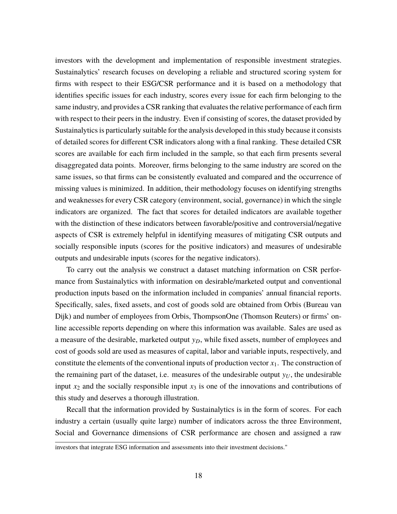investors with the development and implementation of responsible investment strategies. Sustainalytics' research focuses on developing a reliable and structured scoring system for firms with respect to their ESG/CSR performance and it is based on a methodology that identifies specific issues for each industry, scores every issue for each firm belonging to the same industry, and provides a CSR ranking that evaluates the relative performance of each firm with respect to their peers in the industry. Even if consisting of scores, the dataset provided by Sustainalytics is particularly suitable for the analysis developed in this study because it consists of detailed scores for different CSR indicators along with a final ranking. These detailed CSR scores are available for each firm included in the sample, so that each firm presents several disaggregated data points. Moreover, firms belonging to the same industry are scored on the same issues, so that firms can be consistently evaluated and compared and the occurrence of missing values is minimized. In addition, their methodology focuses on identifying strengths and weaknesses for every CSR category (environment, social, governance) in which the single indicators are organized. The fact that scores for detailed indicators are available together with the distinction of these indicators between favorable/positive and controversial/negative aspects of CSR is extremely helpful in identifying measures of mitigating CSR outputs and socially responsible inputs (scores for the positive indicators) and measures of undesirable outputs and undesirable inputs (scores for the negative indicators).

To carry out the analysis we construct a dataset matching information on CSR performance from Sustainalytics with information on desirable/marketed output and conventional production inputs based on the information included in companies' annual financial reports. Specifically, sales, fixed assets, and cost of goods sold are obtained from Orbis (Bureau van Dijk) and number of employees from Orbis, ThompsonOne (Thomson Reuters) or firms' online accessible reports depending on where this information was available. Sales are used as a measure of the desirable, marketed output y*D*, while fixed assets, number of employees and cost of goods sold are used as measures of capital, labor and variable inputs, respectively, and constitute the elements of the conventional inputs of production vector  $x_1$ . The construction of the remaining part of the dataset, i.e. measures of the undesirable output  $y_U$ , the undesirable input  $x_2$  and the socially responsible input  $x_3$  is one of the innovations and contributions of this study and deserves a thorough illustration.

Recall that the information provided by Sustainalytics is in the form of scores. For each industry a certain (usually quite large) number of indicators across the three Environment, Social and Governance dimensions of CSR performance are chosen and assigned a raw

investors that integrate ESG information and assessments into their investment decisions."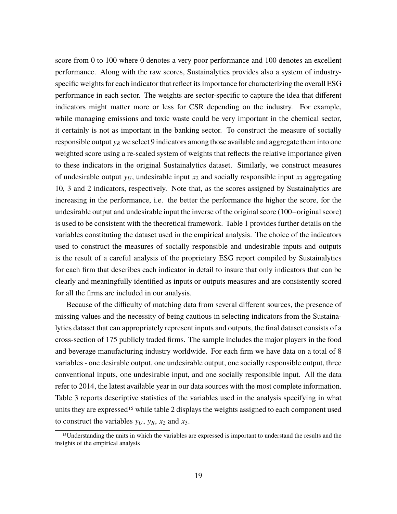score from 0 to 100 where 0 denotes a very poor performance and 100 denotes an excellent performance. Along with the raw scores, Sustainalytics provides also a system of industryspecific weights for each indicator that reflect its importance for characterizing the overall ESG performance in each sector. The weights are sector-specific to capture the idea that different indicators might matter more or less for CSR depending on the industry. For example, while managing emissions and toxic waste could be very important in the chemical sector, it certainly is not as important in the banking sector. To construct the measure of socially responsible output y*<sup>R</sup>* we select 9 indicators among those available and aggregate them into one weighted score using a re-scaled system of weights that reflects the relative importance given to these indicators in the original Sustainalytics dataset. Similarly, we construct measures of undesirable output  $y_U$ , undesirable input  $x_2$  and socially responsible input  $x_3$  aggregating 10, 3 and 2 indicators, respectively. Note that, as the scores assigned by Sustainalytics are increasing in the performance, i.e. the better the performance the higher the score, for the undesirable output and undesirable input the inverse of the original score (100−original score) is used to be consistent with the theoretical framework. Table [1](#page-50-0) provides further details on the variables constituting the dataset used in the empirical analysis. The choice of the indicators used to construct the measures of socially responsible and undesirable inputs and outputs is the result of a careful analysis of the proprietary ESG report compiled by Sustainalytics for each firm that describes each indicator in detail to insure that only indicators that can be clearly and meaningfully identified as inputs or outputs measures and are consistently scored for all the firms are included in our analysis.

Because of the difficulty of matching data from several different sources, the presence of missing values and the necessity of being cautious in selecting indicators from the Sustainalytics dataset that can appropriately represent inputs and outputs, the final dataset consists of a cross-section of 175 publicly traded firms. The sample includes the major players in the food and beverage manufacturing industry worldwide. For each firm we have data on a total of 8 variables - one desirable output, one undesirable output, one socially responsible output, three conventional inputs, one undesirable input, and one socially responsible input. All the data refer to 2014, the latest available year in our data sources with the most complete information. Table [3](#page-52-0) reports descriptive statistics of the variables used in the analysis specifying in what units they are expressed<sup>[15](#page-20-0)</sup> while table [2](#page-51-0) displays the weights assigned to each component used to construct the variables  $y_U$ ,  $y_R$ ,  $x_2$  and  $x_3$ .

<span id="page-20-0"></span><sup>15</sup>Understanding the units in which the variables are expressed is important to understand the results and the insights of the empirical analysis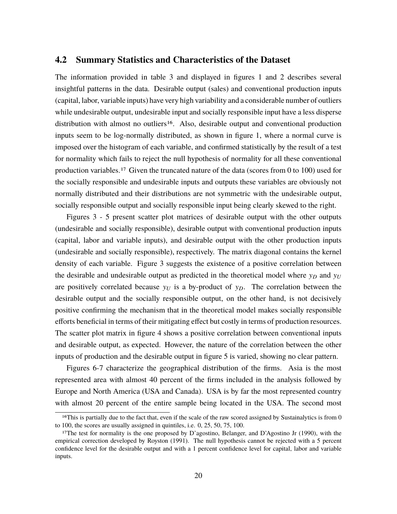#### **4.2 Summary Statistics and Characteristics of the Dataset**

The information provided in table [3](#page-52-0) and displayed in figures [1](#page-40-0) and [2](#page-41-0) describes several insightful patterns in the data. Desirable output (sales) and conventional production inputs (capital, labor, variable inputs) have very high variability and a considerable number of outliers while undesirable output, undesirable input and socially responsible input have a less disperse distribution with almost no outliers<sup>[16](#page-21-0)</sup>. Also, desirable output and conventional production inputs seem to be log-normally distributed, as shown in figure [1,](#page-40-0) where a normal curve is imposed over the histogram of each variable, and confirmed statistically by the result of a test for normality which fails to reject the null hypothesis of normality for all these conventional production variables.[17](#page-21-1) Given the truncated nature of the data (scores from 0 to 100) used for the socially responsible and undesirable inputs and outputs these variables are obviously not normally distributed and their distributions are not symmetric with the undesirable output, socially responsible output and socially responsible input being clearly skewed to the right.

Figures [3](#page-42-0) - [5](#page-44-0) present scatter plot matrices of desirable output with the other outputs (undesirable and socially responsible), desirable output with conventional production inputs (capital, labor and variable inputs), and desirable output with the other production inputs (undesirable and socially responsible), respectively. The matrix diagonal contains the kernel density of each variable. Figure [3](#page-42-0) suggests the existence of a positive correlation between the desirable and undesirable output as predicted in the theoretical model where y*<sup>D</sup>* and y*<sup>U</sup>* are positively correlated because  $y_U$  is a by-product of  $y_D$ . The correlation between the desirable output and the socially responsible output, on the other hand, is not decisively positive confirming the mechanism that in the theoretical model makes socially responsible efforts beneficial in terms of their mitigating effect but costly in terms of production resources. The scatter plot matrix in figure [4](#page-43-0) shows a positive correlation between conventional inputs and desirable output, as expected. However, the nature of the correlation between the other inputs of production and the desirable output in figure [5](#page-44-0) is varied, showing no clear pattern.

Figures [6](#page-45-0)[-7](#page-46-0) characterize the geographical distribution of the firms. Asia is the most represented area with almost 40 percent of the firms included in the analysis followed by Europe and North America (USA and Canada). USA is by far the most represented country with almost 20 percent of the entire sample being located in the USA. The second most

<span id="page-21-0"></span><sup>&</sup>lt;sup>16</sup>This is partially due to the fact that, even if the scale of the raw scored assigned by Sustainalytics is from 0 to 100, the scores are usually assigned in quintiles, i.e. 0, 25, 50, 75, 100.

<span id="page-21-1"></span><sup>17</sup>The test for normality is the one proposed by [D'agostino, Belanger, and D'Agostino Jr](#page-30-14) [\(1990\)](#page-30-14), with the empirical correction developed by [Royston](#page-31-12) [\(1991\)](#page-31-12). The null hypothesis cannot be rejected with a 5 percent confidence level for the desirable output and with a 1 percent confidence level for capital, labor and variable inputs.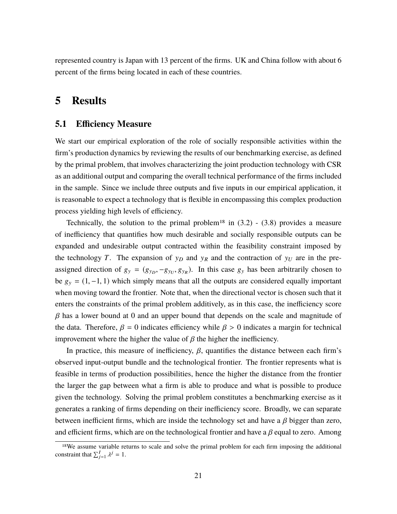represented country is Japan with 13 percent of the firms. UK and China follow with about 6 percent of the firms being located in each of these countries.

### **5 Results**

#### **5.1 Efficiency Measure**

We start our empirical exploration of the role of socially responsible activities within the firm's production dynamics by reviewing the results of our benchmarking exercise, as defined by the primal problem, that involves characterizing the joint production technology with CSR as an additional output and comparing the overall technical performance of the firms included in the sample. Since we include three outputs and five inputs in our empirical application, it is reasonable to expect a technology that is flexible in encompassing this complex production process yielding high levels of efficiency.

Technically, the solution to the primal problem<sup>[18](#page-22-0)</sup> in  $(3.2)$  -  $(3.8)$  provides a measure of inefficiency that quantifies how much desirable and socially responsible outputs can be expanded and undesirable output contracted within the feasibility constraint imposed by the technology *T*. The expansion of  $y_D$  and  $y_R$  and the contraction of  $y_U$  are in the preassigned direction of  $g_y = (g_{y_D}, -g_{y_U}, g_{y_R})$ . In this case  $g_y$  has been arbitrarily chosen to be  $g_y = (1, -1, 1)$  which simply means that all the outputs are considered equally important when moving toward the frontier. Note that, when the directional vector is chosen such that it enters the constraints of the primal problem additively, as in this case, the inefficiency score  $\beta$  has a lower bound at 0 and an upper bound that depends on the scale and magnitude of the data. Therefore,  $\beta = 0$  indicates efficiency while  $\beta > 0$  indicates a margin for technical improvement where the higher the value of β the higher the inefficiency.

In practice, this measure of inefficiency,  $\beta$ , quantifies the distance between each firm's observed input-output bundle and the technological frontier. The frontier represents what is feasible in terms of production possibilities, hence the higher the distance from the frontier the larger the gap between what a firm is able to produce and what is possible to produce given the technology. Solving the primal problem constitutes a benchmarking exercise as it generates a ranking of firms depending on their inefficiency score. Broadly, we can separate between inefficient firms, which are inside the technology set and have a  $\beta$  bigger than zero, and efficient firms, which are on the technological frontier and have a  $\beta$  equal to zero. Among

<span id="page-22-0"></span><sup>&</sup>lt;sup>18</sup>We assume variable returns to scale and solve the primal problem for each firm imposing the additional constraint that  $\sum_{j=1}^{I} \lambda^{j} = 1$ .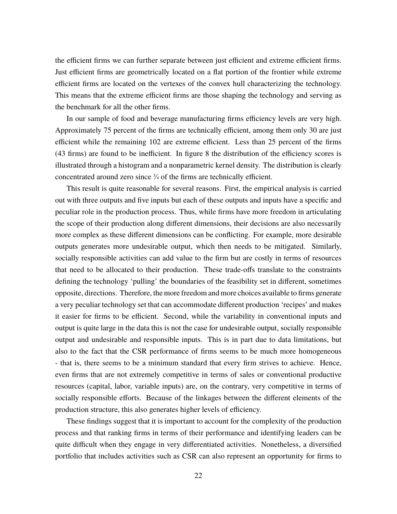the efficient firms we can further separate between just efficient and extreme efficient firms. Just efficient firms are geometrically located on a flat portion of the frontier while extreme efficient firms are located on the vertexes of the convex hull characterizing the technology. This means that the extreme efficient firms are those shaping the technology and serving as the benchmark for all the other firms.

In our sample of food and beverage manufacturing firms efficiency levels are very high. Approximately 75 percent of the firms are technically efficient, among them only 30 are just efficient while the remaining 102 are extreme efficient. Less than 25 percent of the firms (43 firms) are found to be inefficient. In figure [8](#page-47-0) the distribution of the efficiency scores is illustrated through a histogram and a nonparametric kernel density. The distribution is clearly concentrated around zero since <sup>3</sup> ⁄<sup>4</sup> of the firms are technically efficient.

This result is quite reasonable for several reasons. First, the empirical analysis is carried out with three outputs and five inputs but each of these outputs and inputs have a specific and peculiar role in the production process. Thus, while firms have more freedom in articulating the scope of their production along different dimensions, their decisions are also necessarily more complex as these different dimensions can be conflicting. For example, more desirable outputs generates more undesirable output, which then needs to be mitigated. Similarly, socially responsible activities can add value to the firm but are costly in terms of resources that need to be allocated to their production. These trade-offs translate to the constraints defining the technology 'pulling' the boundaries of the feasibility set in different, sometimes opposite, directions. Therefore, the more freedom and more choices available to firms generate a very peculiar technology set that can accommodate different production 'recipes' and makes it easier for firms to be efficient. Second, while the variability in conventional inputs and output is quite large in the data this is not the case for undesirable output, socially responsible output and undesirable and responsible inputs. This is in part due to data limitations, but also to the fact that the CSR performance of firms seems to be much more homogeneous - that is, there seems to be a minimum standard that every firm strives to achieve. Hence, even firms that are not extremely competitive in terms of sales or conventional productive resources (capital, labor, variable inputs) are, on the contrary, very competitive in terms of socially responsible efforts. Because of the linkages between the different elements of the production structure, this also generates higher levels of efficiency.

These findings suggest that it is important to account for the complexity of the production process and that ranking firms in terms of their performance and identifying leaders can be quite difficult when they engage in very differentiated activities. Nonetheless, a diversified portfolio that includes activities such as CSR can also represent an opportunity for firms to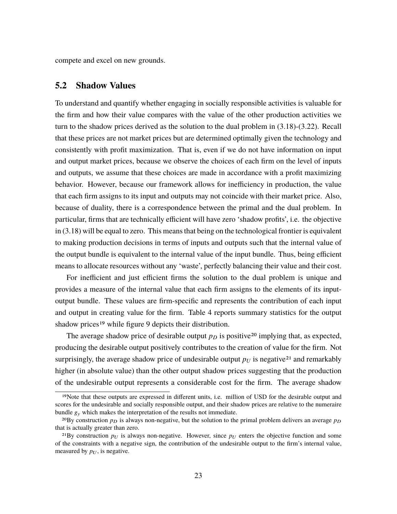compete and excel on new grounds.

#### **5.2 Shadow Values**

To understand and quantify whether engaging in socially responsible activities is valuable for the firm and how their value compares with the value of the other production activities we turn to the shadow prices derived as the solution to the dual problem in [\(3.18\)](#page-15-4)-[\(3.22\)](#page-15-5). Recall that these prices are not market prices but are determined optimally given the technology and consistently with profit maximization. That is, even if we do not have information on input and output market prices, because we observe the choices of each firm on the level of inputs and outputs, we assume that these choices are made in accordance with a profit maximizing behavior. However, because our framework allows for inefficiency in production, the value that each firm assigns to its input and outputs may not coincide with their market price. Also, because of duality, there is a correspondence between the primal and the dual problem. In particular, firms that are technically efficient will have zero 'shadow profits', i.e. the objective in [\(3.18\)](#page-15-4) will be equal to zero. This means that being on the technological frontier is equivalent to making production decisions in terms of inputs and outputs such that the internal value of the output bundle is equivalent to the internal value of the input bundle. Thus, being efficient means to allocate resources without any 'waste', perfectly balancing their value and their cost.

For inefficient and just efficient firms the solution to the dual problem is unique and provides a measure of the internal value that each firm assigns to the elements of its inputoutput bundle. These values are firm-specific and represents the contribution of each input and output in creating value for the firm. Table [4](#page-53-0) reports summary statistics for the output shadow prices<sup>[19](#page-24-0)</sup> while figure [9](#page-48-0) depicts their distribution.

The average shadow price of desirable output  $p<sub>D</sub>$  is positive<sup>[20](#page-24-1)</sup> implying that, as expected, producing the desirable output positively contributes to the creation of value for the firm. Not surprisingly, the average shadow price of undesirable output  $p_U$  is negative<sup>[21](#page-24-2)</sup> and remarkably higher (in absolute value) than the other output shadow prices suggesting that the production of the undesirable output represents a considerable cost for the firm. The average shadow

<span id="page-24-0"></span><sup>19</sup>Note that these outputs are expressed in different units, i.e. million of USD for the desirable output and scores for the undesirable and socially responsible output, and their shadow prices are relative to the numeraire bundle  $g_y$  which makes the interpretation of the results not immediate.

<span id="page-24-1"></span><sup>&</sup>lt;sup>20</sup>By construction  $p<sub>D</sub>$  is always non-negative, but the solution to the primal problem delivers an average  $p<sub>D</sub>$ that is actually greater than zero.

<span id="page-24-2"></span><sup>&</sup>lt;sup>21</sup>By construction  $p_U$  is always non-negative. However, since  $p_U$  enters the objective function and some of the constraints with a negative sign, the contribution of the undesirable output to the firm's internal value, measured by  $p_U$ , is negative.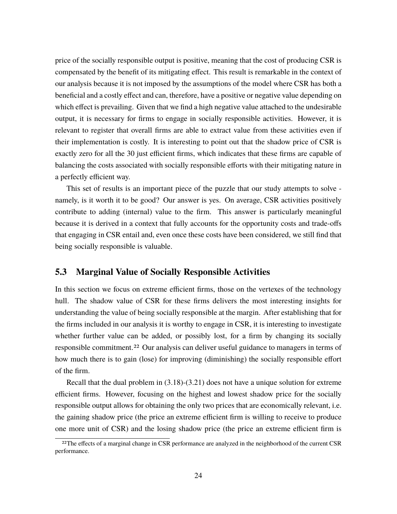price of the socially responsible output is positive, meaning that the cost of producing CSR is compensated by the benefit of its mitigating effect. This result is remarkable in the context of our analysis because it is not imposed by the assumptions of the model where CSR has both a beneficial and a costly effect and can, therefore, have a positive or negative value depending on which effect is prevailing. Given that we find a high negative value attached to the undesirable output, it is necessary for firms to engage in socially responsible activities. However, it is relevant to register that overall firms are able to extract value from these activities even if their implementation is costly. It is interesting to point out that the shadow price of CSR is exactly zero for all the 30 just efficient firms, which indicates that these firms are capable of balancing the costs associated with socially responsible efforts with their mitigating nature in a perfectly efficient way.

This set of results is an important piece of the puzzle that our study attempts to solve namely, is it worth it to be good? Our answer is yes. On average, CSR activities positively contribute to adding (internal) value to the firm. This answer is particularly meaningful because it is derived in a context that fully accounts for the opportunity costs and trade-offs that engaging in CSR entail and, even once these costs have been considered, we still find that being socially responsible is valuable.

#### **5.3 Marginal Value of Socially Responsible Activities**

In this section we focus on extreme efficient firms, those on the vertexes of the technology hull. The shadow value of CSR for these firms delivers the most interesting insights for understanding the value of being socially responsible at the margin. After establishing that for the firms included in our analysis it is worthy to engage in CSR, it is interesting to investigate whether further value can be added, or possibly lost, for a firm by changing its socially responsible commitment.[22](#page-25-0) Our analysis can deliver useful guidance to managers in terms of how much there is to gain (lose) for improving (diminishing) the socially responsible effort of the firm.

Recall that the dual problem in [\(3.18\)](#page-15-4)-[\(3.21\)](#page-15-3) does not have a unique solution for extreme efficient firms. However, focusing on the highest and lowest shadow price for the socially responsible output allows for obtaining the only two prices that are economically relevant, i.e. the gaining shadow price (the price an extreme efficient firm is willing to receive to produce one more unit of CSR) and the losing shadow price (the price an extreme efficient firm is

<span id="page-25-0"></span><sup>&</sup>lt;sup>22</sup>The effects of a marginal change in CSR performance are analyzed in the neighborhood of the current CSR performance.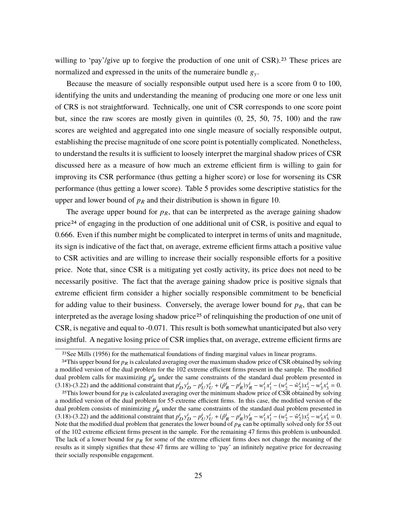willing to 'pay'/give up to forgive the production of one unit of CSR).<sup>[23](#page-26-0)</sup> These prices are normalized and expressed in the units of the numeraire bundle  $g_y$ .

Because the measure of socially responsible output used here is a score from 0 to 100, identifying the units and understanding the meaning of producing one more or one less unit of CRS is not straightforward. Technically, one unit of CSR corresponds to one score point but, since the raw scores are mostly given in quintiles (0, 25, 50, 75, 100) and the raw scores are weighted and aggregated into one single measure of socially responsible output, establishing the precise magnitude of one score point is potentially complicated. Nonetheless, to understand the results it is sufficient to loosely interpret the marginal shadow prices of CSR discussed here as a measure of how much an extreme efficient firm is willing to gain for improving its CSR performance (thus getting a higher score) or lose for worsening its CSR performance (thus getting a lower score). Table [5](#page-53-1) provides some descriptive statistics for the upper and lower bound of  $p<sub>R</sub>$  and their distribution is shown in figure [10.](#page-49-0)

The average upper bound for  $p_R$ , that can be interpreted as the average gaining shadow price[24](#page-26-1) of engaging in the production of one additional unit of CSR, is positive and equal to 0.666. Even if this number might be complicated to interpret in terms of units and magnitude, its sign is indicative of the fact that, on average, extreme efficient firms attach a positive value to CSR activities and are willing to increase their socially responsible efforts for a positive price. Note that, since CSR is a mitigating yet costly activity, its price does not need to be necessarily positive. The fact that the average gaining shadow price is positive signals that extreme efficient firm consider a higher socially responsible commitment to be beneficial for adding value to their business. Conversely, the average lower bound for  $p<sub>R</sub>$ , that can be interpreted as the average losing shadow price<sup>[25](#page-26-2)</sup> of relinquishing the production of one unit of CSR, is negative and equal to -0.071. This result is both somewhat unanticipated but also very insightful. A negative losing price of CSR implies that, on average, extreme efficient firms are

<span id="page-26-1"></span><span id="page-26-0"></span><sup>23</sup>See [Mills](#page-31-13) [\(1956\)](#page-31-13) for the mathematical foundations of finding marginal values in linear programs.

<sup>&</sup>lt;sup>24</sup>This upper bound for  $p<sub>R</sub>$  is calculated averaging over the maximum shadow price of CSR obtained by solving a modified version of the dual problem for the 102 extreme efficient firms present in the sample. The modified dual problem calls for maximizing  $p_R^i$  under the same constraints of the standard dual problem presented in [\(3.18\)](#page-15-4)-[\(3.22\)](#page-15-5) and the additional constraint that  $p_D^i y_D^i - p_U^i y_U^i + (\hat{p}_R^i - p_R^i) y_R^i - w_1^i x_1^i - (w_2^i - \hat{w}_2^i) x_2^i - w_3^i x_3^i = 0$ .

<span id="page-26-2"></span><sup>&</sup>lt;sup>25</sup>This lower bound for  $p_R$  is calculated averaging over the minimum shadow price of CSR obtained by solving a modified version of the dual problem for 55 extreme efficient firms. In this case, the modified version of the dual problem consists of minimizing  $p_R^i$  under the same constraints of the standard dual problem presented in [\(3.18\)](#page-15-4)-[\(3.22\)](#page-15-5) and the additional constraint that  $p_D^i y_D^i - p_U^i y_U^i + (\hat{p}_R^i - p_R^i) y_R^i - w_1^i x_1^i - (w_2^i - \hat{w}_2^i) x_2^i - w_3^i x_3^i = 0$ . Note that the modified dual problem that generates the lower bound of  $p_R$  can be optimally solved only for 55 out of the 102 extreme efficient firms present in the sample. For the remaining 47 firms this problem is unbounded. The lack of a lower bound for  $p<sub>R</sub>$  for some of the extreme efficient firms does not change the meaning of the results as it simply signifies that these 47 firms are willing to 'pay' an infinitely negative price for decreasing their socially responsible engagement.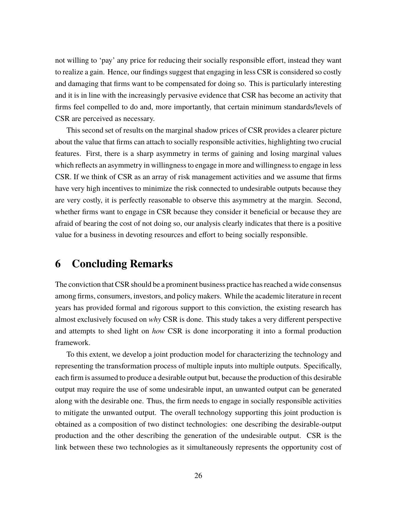not willing to 'pay' any price for reducing their socially responsible effort, instead they want to realize a gain. Hence, our findings suggest that engaging in less CSR is considered so costly and damaging that firms want to be compensated for doing so. This is particularly interesting and it is in line with the increasingly pervasive evidence that CSR has become an activity that firms feel compelled to do and, more importantly, that certain minimum standards/levels of CSR are perceived as necessary.

This second set of results on the marginal shadow prices of CSR provides a clearer picture about the value that firms can attach to socially responsible activities, highlighting two crucial features. First, there is a sharp asymmetry in terms of gaining and losing marginal values which reflects an asymmetry in willingness to engage in more and willingness to engage in less CSR. If we think of CSR as an array of risk management activities and we assume that firms have very high incentives to minimize the risk connected to undesirable outputs because they are very costly, it is perfectly reasonable to observe this asymmetry at the margin. Second, whether firms want to engage in CSR because they consider it beneficial or because they are afraid of bearing the cost of not doing so, our analysis clearly indicates that there is a positive value for a business in devoting resources and effort to being socially responsible.

### **6 Concluding Remarks**

The conviction that CSR should be a prominent business practice has reached a wide consensus among firms, consumers, investors, and policy makers. While the academic literature in recent years has provided formal and rigorous support to this conviction, the existing research has almost exclusively focused on *why* CSR is done. This study takes a very different perspective and attempts to shed light on *how* CSR is done incorporating it into a formal production framework.

To this extent, we develop a joint production model for characterizing the technology and representing the transformation process of multiple inputs into multiple outputs. Specifically, each firm is assumed to produce a desirable output but, because the production of this desirable output may require the use of some undesirable input, an unwanted output can be generated along with the desirable one. Thus, the firm needs to engage in socially responsible activities to mitigate the unwanted output. The overall technology supporting this joint production is obtained as a composition of two distinct technologies: one describing the desirable-output production and the other describing the generation of the undesirable output. CSR is the link between these two technologies as it simultaneously represents the opportunity cost of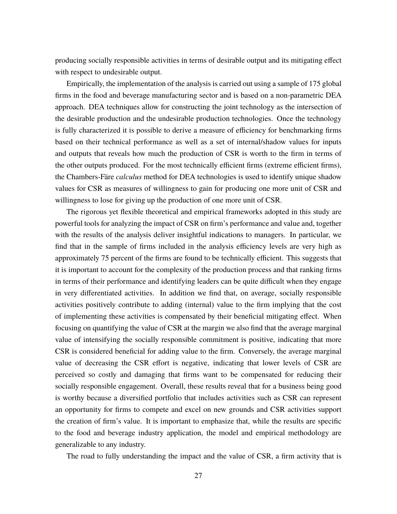producing socially responsible activities in terms of desirable output and its mitigating effect with respect to undesirable output.

Empirically, the implementation of the analysis is carried out using a sample of 175 global firms in the food and beverage manufacturing sector and is based on a non-parametric DEA approach. DEA techniques allow for constructing the joint technology as the intersection of the desirable production and the undesirable production technologies. Once the technology is fully characterized it is possible to derive a measure of efficiency for benchmarking firms based on their technical performance as well as a set of internal/shadow values for inputs and outputs that reveals how much the production of CSR is worth to the firm in terms of the other outputs produced. For the most technically efficient firms (extreme efficient firms), the Chambers-Färe *calculus* method for DEA technologies is used to identify unique shadow values for CSR as measures of willingness to gain for producing one more unit of CSR and willingness to lose for giving up the production of one more unit of CSR.

The rigorous yet flexible theoretical and empirical frameworks adopted in this study are powerful tools for analyzing the impact of CSR on firm's performance and value and, together with the results of the analysis deliver insightful indications to managers. In particular, we find that in the sample of firms included in the analysis efficiency levels are very high as approximately 75 percent of the firms are found to be technically efficient. This suggests that it is important to account for the complexity of the production process and that ranking firms in terms of their performance and identifying leaders can be quite difficult when they engage in very differentiated activities. In addition we find that, on average, socially responsible activities positively contribute to adding (internal) value to the firm implying that the cost of implementing these activities is compensated by their beneficial mitigating effect. When focusing on quantifying the value of CSR at the margin we also find that the average marginal value of intensifying the socially responsible commitment is positive, indicating that more CSR is considered beneficial for adding value to the firm. Conversely, the average marginal value of decreasing the CSR effort is negative, indicating that lower levels of CSR are perceived so costly and damaging that firms want to be compensated for reducing their socially responsible engagement. Overall, these results reveal that for a business being good is worthy because a diversified portfolio that includes activities such as CSR can represent an opportunity for firms to compete and excel on new grounds and CSR activities support the creation of firm's value. It is important to emphasize that, while the results are specific to the food and beverage industry application, the model and empirical methodology are generalizable to any industry.

The road to fully understanding the impact and the value of CSR, a firm activity that is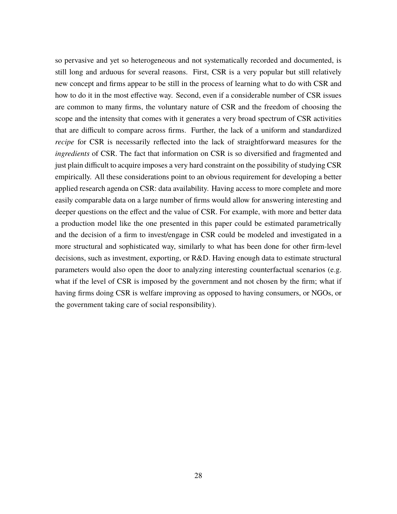so pervasive and yet so heterogeneous and not systematically recorded and documented, is still long and arduous for several reasons. First, CSR is a very popular but still relatively new concept and firms appear to be still in the process of learning what to do with CSR and how to do it in the most effective way. Second, even if a considerable number of CSR issues are common to many firms, the voluntary nature of CSR and the freedom of choosing the scope and the intensity that comes with it generates a very broad spectrum of CSR activities that are difficult to compare across firms. Further, the lack of a uniform and standardized *recipe* for CSR is necessarily reflected into the lack of straightforward measures for the *ingredients* of CSR. The fact that information on CSR is so diversified and fragmented and just plain difficult to acquire imposes a very hard constraint on the possibility of studying CSR empirically. All these considerations point to an obvious requirement for developing a better applied research agenda on CSR: data availability. Having access to more complete and more easily comparable data on a large number of firms would allow for answering interesting and deeper questions on the effect and the value of CSR. For example, with more and better data a production model like the one presented in this paper could be estimated parametrically and the decision of a firm to invest/engage in CSR could be modeled and investigated in a more structural and sophisticated way, similarly to what has been done for other firm-level decisions, such as investment, exporting, or R&D. Having enough data to estimate structural parameters would also open the door to analyzing interesting counterfactual scenarios (e.g. what if the level of CSR is imposed by the government and not chosen by the firm; what if having firms doing CSR is welfare improving as opposed to having consumers, or NGOs, or the government taking care of social responsibility).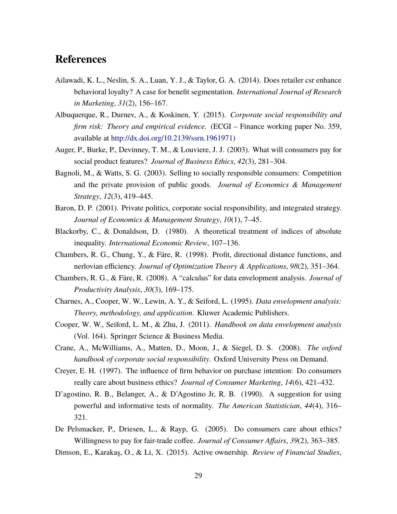## **References**

- <span id="page-30-5"></span>Ailawadi, K. L., Neslin, S. A., Luan, Y. J., & Taylor, G. A. (2014). Does retailer csr enhance behavioral loyalty? A case for benefit segmentation. *International Journal of Research in Marketing*, *31*(2), 156–167.
- <span id="page-30-7"></span>Albuquerque, R., Durnev, A., & Koskinen, Y. (2015). *Corporate social responsibility and firm risk: Theory and empirical evidence.* (ECGI – Finance working paper No. 359, available at [http://dx.doi.org/10.2139/ssrn.1961971\)](http://dx.doi.org/10.2139/ssrn.1961971)
- <span id="page-30-3"></span>Auger, P., Burke, P., Devinney, T. M., & Louviere, J. J. (2003). What will consumers pay for social product features? *Journal of Business Ethics*, *42*(3), 281–304.
- <span id="page-30-1"></span>Bagnoli, M., & Watts, S. G. (2003). Selling to socially responsible consumers: Competition and the private provision of public goods. *Journal of Economics & Management Strategy*, *12*(3), 419–445.
- <span id="page-30-0"></span>Baron, D. P. (2001). Private politics, corporate social responsibility, and integrated strategy. *Journal of Economics & Management Strategy*, *10*(1), 7–45.
- <span id="page-30-13"></span>Blackorby, C., & Donaldson, D. (1980). A theoretical treatment of indices of absolute inequality. *International Economic Review*, 107–136.
- <span id="page-30-12"></span>Chambers, R. G., Chung, Y., & Färe, R. (1998). Profit, directional distance functions, and nerlovian efficiency. *Journal of Optimization Theory & Applications*, *98*(2), 351–364.
- <span id="page-30-9"></span>Chambers, R. G., & Färe, R. (2008). A "calculus" for data envelopment analysis. *Journal of Productivity Analysis*, *30*(3), 169–175.
- <span id="page-30-10"></span>Charnes, A., Cooper, W. W., Lewin, A. Y., & Seiford, L. (1995). *Data envelopment analysis: Theory, methodology, and application*. Kluwer Academic Publishers.
- <span id="page-30-11"></span>Cooper, W. W., Seiford, L. M., & Zhu, J. (2011). *Handbook on data envelopment analysis* (Vol. 164). Springer Science & Business Media.
- <span id="page-30-6"></span>Crane, A., McWilliams, A., Matten, D., Moon, J., & Siegel, D. S. (2008). *The oxford handbook of corporate social responsibility*. Oxford University Press on Demand.
- <span id="page-30-2"></span>Creyer, E. H. (1997). The influence of firm behavior on purchase intention: Do consumers really care about business ethics? *Journal of Consumer Marketing*, *14*(6), 421–432.
- <span id="page-30-14"></span>D'agostino, R. B., Belanger, A., & D'Agostino Jr, R. B. (1990). A suggestion for using powerful and informative tests of normality. *The American Statistician*, *44*(4), 316– 321.
- <span id="page-30-4"></span>De Pelsmacker, P., Driesen, L., & Rayp, G. (2005). Do consumers care about ethics? Willingness to pay for fair-trade coffee. *Journal of Consumer Affairs*, *39*(2), 363–385.
- <span id="page-30-8"></span>Dimson, E., Karakaş, O., & Li, X. (2015). Active ownership. *Review of Financial Studies*,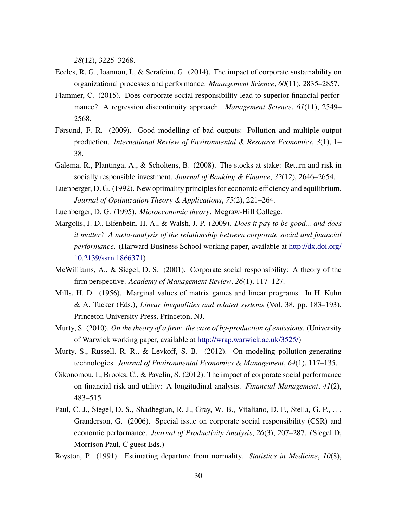*28*(12), 3225–3268.

- <span id="page-31-6"></span>Eccles, R. G., Ioannou, I., & Serafeim, G. (2014). The impact of corporate sustainability on organizational processes and performance. *Management Science*, *60*(11), 2835–2857.
- <span id="page-31-5"></span>Flammer, C. (2015). Does corporate social responsibility lead to superior financial performance? A regression discontinuity approach. *Management Science*, *61*(11), 2549– 2568.
- <span id="page-31-8"></span>Førsund, F. R. (2009). Good modelling of bad outputs: Pollution and multiple-output production. *International Review of Environmental & Resource Economics*, *3*(1), 1– 38.
- <span id="page-31-4"></span>Galema, R., Plantinga, A., & Scholtens, B. (2008). The stocks at stake: Return and risk in socially responsible investment. *Journal of Banking & Finance*, *32*(12), 2646–2654.
- <span id="page-31-10"></span>Luenberger, D. G. (1992). New optimality principles for economic efficiency and equilibrium. *Journal of Optimization Theory & Applications*, *75*(2), 221–264.
- <span id="page-31-11"></span><span id="page-31-3"></span>Luenberger, D. G. (1995). *Microeconomic theory*. Mcgraw-Hill College.
- Margolis, J. D., Elfenbein, H. A., & Walsh, J. P. (2009). *Does it pay to be good... and does it matter? A meta-analysis of the relationship between corporate social and financial performance.* (Harward Business School working paper, available at [http://dx.doi.org/](http://dx.doi.org/10.2139/ssrn.1866371) [10.2139/ssrn.1866371\)](http://dx.doi.org/10.2139/ssrn.1866371)
- <span id="page-31-0"></span>McWilliams, A., & Siegel, D. S. (2001). Corporate social responsibility: A theory of the firm perspective. *Academy of Management Review*, *26*(1), 117–127.
- <span id="page-31-13"></span>Mills, H. D. (1956). Marginal values of matrix games and linear programs. In H. Kuhn & A. Tucker (Eds.), *Linear inequalities and related systems* (Vol. 38, pp. 183–193). Princeton University Press, Princeton, NJ.
- <span id="page-31-9"></span>Murty, S. (2010). *On the theory of a firm: the case of by-production of emissions.* (University of Warwick working paper, available at [http://wrap.warwick.ac.uk/3525/\)](http://wrap.warwick.ac.uk/3525/)
- <span id="page-31-7"></span>Murty, S., Russell, R. R., & Levkoff, S. B. (2012). On modeling pollution-generating technologies. *Journal of Environmental Economics & Management*, *64*(1), 117–135.
- <span id="page-31-2"></span>Oikonomou, I., Brooks, C., & Pavelin, S. (2012). The impact of corporate social performance on financial risk and utility: A longitudinal analysis. *Financial Management*, *41*(2), 483–515.
- <span id="page-31-1"></span>Paul, C. J., Siegel, D. S., Shadbegian, R. J., Gray, W. B., Vitaliano, D. F., Stella, G. P., . . . Granderson, G. (2006). Special issue on corporate social responsibility (CSR) and economic performance. *Journal of Productivity Analysis*, *26*(3), 207–287. (Siegel D, Morrison Paul, C guest Eds.)
- <span id="page-31-12"></span>Royston, P. (1991). Estimating departure from normality. *Statistics in Medicine*, *10*(8),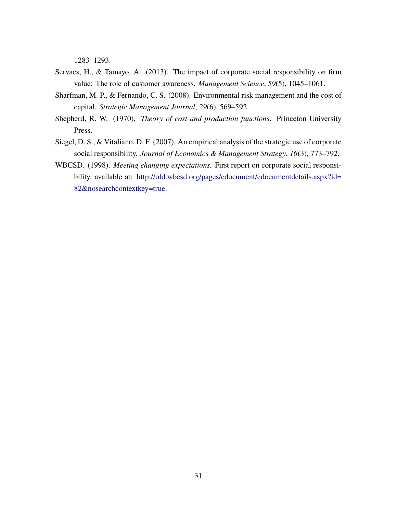1283–1293.

- <span id="page-32-1"></span>Servaes, H., & Tamayo, A. (2013). The impact of corporate social responsibility on firm value: The role of customer awareness. *Management Science*, *59*(5), 1045–1061.
- <span id="page-32-3"></span>Sharfman, M. P., & Fernando, C. S. (2008). Environmental risk management and the cost of capital. *Strategic Management Journal*, *29*(6), 569–592.
- <span id="page-32-4"></span>Shepherd, R. W. (1970). *Theory of cost and production functions*. Princeton University Press.
- <span id="page-32-0"></span>Siegel, D. S., & Vitaliano, D. F. (2007). An empirical analysis of the strategic use of corporate social responsibility. *Journal of Economics & Management Strategy*, *16*(3), 773–792.
- <span id="page-32-2"></span>WBCSD. (1998). *Meeting changing expectations.* First report on corporate social responsibility, available at: [http://old.wbcsd.org/pages/edocument/edocumentdetails.aspx?id=](http://old.wbcsd.org/pages/edocument/edocumentdetails.aspx?id=82&nosearchcontextkey=true) [82&nosearchcontextkey=true.](http://old.wbcsd.org/pages/edocument/edocumentdetails.aspx?id=82&nosearchcontextkey=true)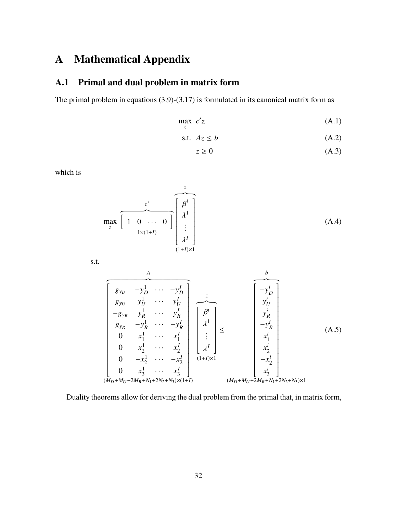# **A Mathematical Appendix**

### **A.1 Primal and dual problem in matrix form**

The primal problem in equations [\(3.9\)](#page-14-0)-[\(3.17\)](#page-14-1) is formulated in its canonical matrix form as

$$
\max_{z} c'z \tag{A.1}
$$

$$
s.t. \quad Az \le b \tag{A.2}
$$

$$
z \ge 0 \tag{A.3}
$$

which is

$$
\max_{z} \overbrace{\left[1 \quad 0 \quad \cdots \quad 0\right]}_{1 \times (1+I)} \overbrace{\left[2 \quad \cdots \quad 0 \quad 0\right]}_{(1+I) \times 1} \overbrace{\left[2 \quad \cdots \quad 0 \quad 0 \quad 0 \quad 0\right]}_{(1+I) \times 1} (A.4)
$$

s.t.

*A* <sup>z</sup> }| { gy<sup>D</sup> −y 1 *D* · · · −y *I D* gy<sup>U</sup> y 1 *U* · · · y *I U* −gy<sup>R</sup> y 1 *R* · · · y *I R* gy<sup>R</sup> −y 1 *R* · · · −y *I R* 0 *x* 1 1 · · · *x I* 1 0 *x* 1 2 · · · *x I* 2 0 −*x* 1 2 · · · −*x I* 2 0 *x* 1 3 · · · *x I* 3 (*M*D+*M*<sup>U</sup> +2*M*R+*N*1+2*N*2+*N*3)×(1+*I*) *z* <sup>z</sup> }| { β *i* λ 1 . . . λ *I* (1+*I*)×1 ≤ *b* <sup>z</sup> }| { −y *i D* y *i U* y *i R* −y *i R x i* 1 *x i* 2 −*x i* 2 *x i* 3 (*M*D+*M*<sup>U</sup> +2*M*R+*N*1+2*N*2+*N*3)×1 (A.5)

Duality theorems allow for deriving the dual problem from the primal that, in matrix form,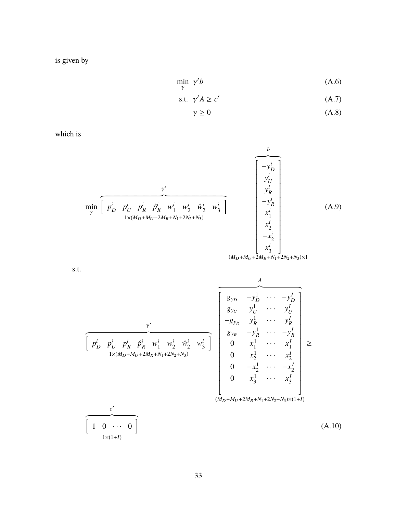is given by

$$
\min_{\gamma} \gamma' b \tag{A.6}
$$

$$
\text{s.t. } \gamma' A \ge c' \tag{A.7}
$$

$$
\gamma \ge 0 \tag{A.8}
$$

which is

$$
\min_{\gamma} \left[ p_D^i \frac{p_U^i}{p_R^i} p_R^i \frac{p_R^i}{p_R^i} w_1^i w_2^i \hat{w}_2^i w_3^i \right] \left[ \begin{array}{c} b \\ y_U^i \\ y_R^i \\ -y_R^i \\ x_1^i \\ x_2^i \\ x_3^i \\ x_3^i \end{array} \right] \tag{A.9}
$$

s.t.

$$
\frac{x}{\begin{bmatrix} p'_D & p'_U & p'_R & \hat{p}'_R & w'_1 & w'_2 & \hat{w}'_2 & w'_3 \end{bmatrix}} \begin{bmatrix} g_{y_D} & -y_D^1 & \cdots & -y_D^I \\ g_{y_U} & y_U^1 & \cdots & y'_U \\ -g_{y_R} & y_R^1 & \cdots & y'_R \\ g_{y_R} & -y_R^1 & \cdots & -y'_R \\ 0 & x_1^1 & \cdots & x_1^I \\ 0 & x_2^1 & \cdots & x_2^I \\ 0 & -x_2^1 & \cdots & x_2^I \\ 0 & -x_2^1 & \cdots & -x_2^I \\ 0 & x_3^1 & \cdots & x_3^I \end{bmatrix}} \ge \frac{x}{(M_D + M_U + 2M_R + N_1 + 2N_2 + N_3) \times (1 + I)} \tag{A.10}
$$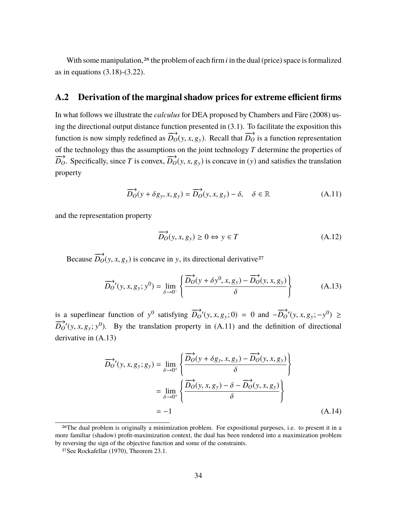With some manipulation,<sup>[26](#page-35-0)</sup> the problem of each firm *i* in the dual (price) space is formalized as in equations [\(3.18\)](#page-15-4)-[\(3.22\)](#page-15-5).

#### **A.2 Derivation of the marginal shadow prices for extreme efficient firms**

In what follows we illustrate the *calculus* for DEA proposed by Chambers and Färe (2008) using the directional output distance function presented in [\(3.1\)](#page-12-2). To facilitate the exposition this function is now simply redefined as  $\overrightarrow{D_O}(y, x, g_y)$ . Recall that  $\overrightarrow{D_O}$  $D<sub>O</sub>$  is a function representation of the technology thus the assumptions on the joint technology *T* determine the properties of −−→ *DO*. Specifically, since *T* is convex,  $\overrightarrow{D_O}(y, x, g_y)$  is concave in (y) and satisfies the translation property

$$
\overrightarrow{D_O}(y + \delta g_y, x, g_y) = \overrightarrow{D_O}(y, x, g_y) - \delta, \quad \delta \in \mathbb{R}
$$
 (A.11)

and the representation property

<span id="page-35-3"></span><span id="page-35-2"></span>
$$
\overrightarrow{D_O}(y, x, g_y) \ge 0 \Leftrightarrow y \in T
$$
\n(A.12)

Because  $\overrightarrow{D}_O(y, x, g_y)$  is concave in y, its directional derivative<sup>[27](#page-35-1)</sup>

$$
\overrightarrow{D_O}'(y, x, g_y; y^0) = \lim_{\delta \to 0^-} \left\{ \frac{\overrightarrow{D_O}(y + \delta y^0, x, g_y) - \overrightarrow{D_O}(y, x, g_y)}{\delta} \right\}
$$
(A.13)

is a superlinear function of  $y<sup>0</sup>$  satisfying −−→  $\overrightarrow{D_O}^{\prime}(y, x, g_y; 0) = 0$  and  $-\overrightarrow{D_O}$  $\overrightarrow{D_O}^{\prime}(y, x, g_y; -y^0) \ge$ −−→  $\overrightarrow{Do'}(y, x, g_y; y^0)$ . By the translation property in [\(A.11\)](#page-35-2) and the definition of directional derivative in [\(A.13\)](#page-35-3)

<span id="page-35-4"></span>
$$
\overrightarrow{D_O'}(y, x, g_y; g_y) = \lim_{\delta \to 0^+} \left\{ \frac{\overrightarrow{D_O}(y + \delta g_y, x, g_y) - \overrightarrow{D_O}(y, x, g_y)}{\delta} \right\}
$$

$$
= \lim_{\delta \to 0^+} \left\{ \frac{\overrightarrow{D_O}(y, x, g_y) - \delta - \overrightarrow{D_O}(y, x, g_y)}{\delta} \right\}
$$

$$
= -1 \tag{A.14}
$$

<span id="page-35-0"></span><sup>&</sup>lt;sup>26</sup>The dual problem is originally a minimization problem. For expositional purposes, i.e. to present it in a more familiar (shadow) profit-maximization context, the dual has been rendered into a maximization problem by reversing the sign of the objective function and some of the constraints.

<span id="page-35-1"></span><sup>27</sup>See Rockafellar (1970), Theorem 23.1.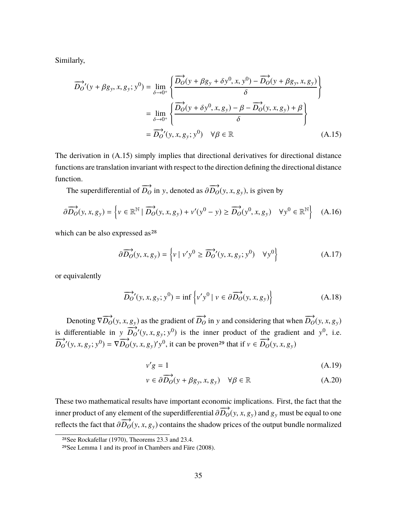Similarly,

$$
\overrightarrow{D_O'}(y + \beta g_y, x, g_y; y^0) = \lim_{\delta \to 0^+} \left\{ \frac{\overrightarrow{D_O}(y + \beta g_y + \delta y^0, x, y^0) - \overrightarrow{D_O}(y + \beta g_y, x, g_y)}{\delta} \right\}
$$

$$
= \lim_{\delta \to 0^+} \left\{ \frac{\overrightarrow{D_O}(y + \delta y^0, x, g_y) - \beta - \overrightarrow{D_O}(y, x, g_y) + \beta}{\delta} \right\}
$$

$$
= \overrightarrow{D_O'}(y, x, g_y; y^0) \quad \forall \beta \in \mathbb{R}
$$
(A.15)

The derivation in [\(A.15\)](#page-36-0) simply implies that directional derivatives for directional distance functions are translation invariant with respect to the direction defining the directional distance function.

The superdifferential of −−→  $D$ <sup>*O*</sup> in y, denoted as ∂  $\overrightarrow{D_O}(y, x, g_y)$ , is given by

$$
\partial \overrightarrow{D_O}(y, x, g_y) = \left\{ v \in \mathbb{R}^{\mathbb{N}} \mid \overrightarrow{D_O}(y, x, g_y) + v'(y^0 - y) \ge \overrightarrow{D_O}(y^0, x, g_y) \quad \forall y^0 \in \mathbb{R}^{\mathbb{N}} \right\}
$$
 (A.16)

which can be also expressed as<sup>[28](#page-36-1)</sup>

<span id="page-36-0"></span>
$$
\partial \overrightarrow{D_O}(y, x, g_y) = \left\{ v \mid v'y^0 \ge \overrightarrow{D_O}'(y, x, g_y; y^0) \quad \forall y^0 \right\}
$$
 (A.17)

or equivalently

$$
\overrightarrow{D_O}'(y, x, g_y; y^0) = \inf \left\{ v'y^0 \mid v \in \partial \overrightarrow{D_O}(y, x, g_y) \right\}
$$
 (A.18)

Denoting  $\nabla \overrightarrow{D_O}(y, x, g_y)$  as the gradient of  $\overrightarrow{D_O}$  $D_O$  in y and considering that when  $\overrightarrow{D_O}(y, x, g_y)$ is differentiable in y  $\rightarrow$  $\overrightarrow{D_O}^{\prime\prime}(y, x, g_y; y^0)$  is the inner product of the gradient and  $y^0$ , i.e. −−→  $\overrightarrow{Do'}(y, x, g_y; y^0) = \nabla \overrightarrow{Do}(y, x, g_y)'y^0$ , it can be proven<sup>[29](#page-36-2)</sup> that if  $v \in \overrightarrow{Do}(y, x, g_y)$ 

$$
v'g = 1\tag{A.19}
$$

$$
v \in \partial \overrightarrow{D_O}(y + \beta g_y, x, g_y) \quad \forall \beta \in \mathbb{R}
$$
 (A.20)

These two mathematical results have important economic implications. First, the fact that the inner product of any element of the superdifferential ∂  $\overrightarrow{D_O}(y, x, g_y)$  and  $g_y$  must be equal to one reflects the fact that ∂  $\overrightarrow{D_O}(y, x, g_y)$  contains the shadow prices of the output bundle normalized

<span id="page-36-1"></span><sup>28</sup>See Rockafellar (1970), Theorems 23.3 and 23.4.

<span id="page-36-2"></span><sup>29</sup>See Lemma 1 and its proof in Chambers and Färe (2008).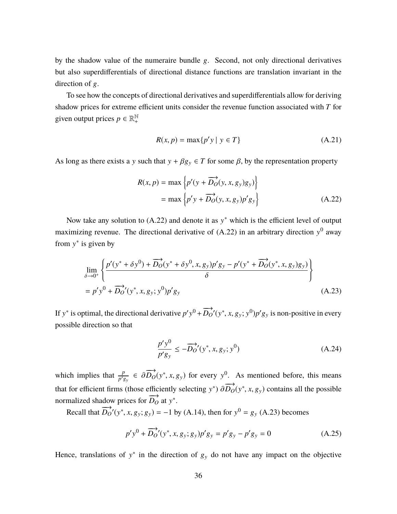by the shadow value of the numeraire bundle g. Second, not only directional derivatives but also superdifferentials of directional distance functions are translation invariant in the direction of g.

To see how the concepts of directional derivatives and superdifferentials allow for deriving shadow prices for extreme efficient units consider the revenue function associated with *T* for given output prices  $p \in \mathbb{R}_+^{\mathbb{N}}$ +

<span id="page-37-0"></span>
$$
R(x, p) = \max\{p'y \mid y \in T\}
$$
\n
$$
(A.21)
$$

As long as there exists a y such that  $y + \beta g_y \in T$  for some  $\beta$ , by the representation property

$$
R(x, p) = \max \left\{ p'(y + \overrightarrow{D_O}(y, x, g_y)g_y) \right\}
$$
  
= max  $\left\{ p'y + \overrightarrow{D_O}(y, x, g_y)p'g_y \right\}$  (A.22)

Now take any solution to  $(A.22)$  and denote it as  $y^*$  which is the efficient level of output maximizing revenue. The directional derivative of  $(A.22)$  in an arbitrary direction  $y<sup>0</sup>$  away from  $y^*$  is given by

$$
\lim_{\delta \to 0^+} \left\{ \frac{p'(y^* + \delta y^0) + \overrightarrow{Do}(y^* + \delta y^0, x, g_y) p' g_y - p'(y^* + \overrightarrow{Do}(y^*, x, g_y) g_y)}{\delta} \right\}
$$
\n=  $p'y^0 + \overrightarrow{Do}'(y^*, x, g_y; y^0) p' g_y$  (A.23)

If y<sup>\*</sup> is optimal, the directional derivative  $p'y^0 + \overrightarrow{D_O}$  $\overrightarrow{Do'}(y^*, x, g_y; y^0)p'g_y$  is non-positive in every possible direction so that

<span id="page-37-2"></span><span id="page-37-1"></span>
$$
\frac{p'y^{0}}{p'g_{y}} \le -\overrightarrow{D_{0}}'(y^{*}, x, g_{y}; y^{0})
$$
\n(A.24)

which implies that  $\frac{p}{p'g_y} \in \partial \overrightarrow{Do}(y^*, x, g_y)$  for every  $y^0$ . As mentioned before, this means that for efficient firms (those efficiently selecting y<sup>\*</sup>) ∂  $\overrightarrow{D_O}(y^*, x, g_y)$  contains all the possible normalized shadow prices for −−→  $\overrightarrow{D_O}$  at  $y^*$ .

Recall that −−→  $\overrightarrow{Do'}(y^*, x, g_y; g_y) = -1$  by [\(A.14\)](#page-35-4), then for  $y^0 = g_y$  [\(A.23\)](#page-37-1) becomes

$$
p'y^{0} + \overrightarrow{D_{0}}'(y^{*}, x, g_{y}; g_{y})p'g_{y} = p'g_{y} - p'g_{y} = 0
$$
 (A.25)

Hence, translations of  $y^*$  in the direction of  $g_y$  do not have any impact on the objective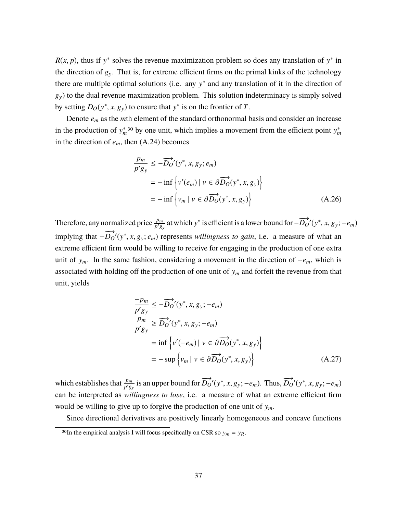$R(x, p)$ , thus if y<sup>\*</sup> solves the revenue maximization problem so does any translation of y<sup>\*</sup> in the direction of  $g_y$ . That is, for extreme efficient firms on the primal kinks of the technology there are multiple optimal solutions (i.e. any  $y^*$  and any translation of it in the direction of  $g_y$ ) to the dual revenue maximization problem. This solution indeterminacy is simply solved by setting  $D_O(y^*, x, g_y)$  to ensure that  $y^*$  is on the frontier of *T*.

Denote *e<sup>m</sup>* as the *m*th element of the standard orthonormal basis and consider an increase in the production of  $y_m^*$ <sup>[30](#page-38-0)</sup> by one unit, which implies a movement from the efficient point  $y_m^*$ in the direction of  $e_m$ , then  $(A.24)$  becomes

$$
\frac{p_m}{p'g_y} \le -\overrightarrow{D_O}'(y^*, x, g_y; e_m)
$$
  
=  $-\inf \{ v'(e_m) | v \in \partial \overrightarrow{D_O}(y^*, x, g_y) \}$   
=  $-\inf \{ v_m | v \in \partial \overrightarrow{D_O}(y^*, x, g_y) \}$  (A.26)

Therefore, any normalized price  $\frac{p_m}{p'g_y}$  at which y<sup>\*</sup> is efficient is a lower bound for  $-\overrightarrow{D_O}$  $\overrightarrow{D_O}^{\prime}(y^*, x, g_y; -e_m)$ implying that  $-\overrightarrow{D_O}$  $\overrightarrow{Do'}(y^*, x, g_y; e_m)$  represents *willingness to gain*, i.e. a measure of what an extreme efficient firm would be willing to receive for engaging in the production of one extra unit of y*m*. In the same fashion, considering a movement in the direction of −*em*, which is associated with holding off the production of one unit of y*<sup>m</sup>* and forfeit the revenue from that unit, yields

$$
\frac{-p_m}{p'g_y} \le -\overrightarrow{D_O}'(y^*, x, g_y; -e_m)
$$
\n
$$
\frac{p_m}{p'g_y} \ge \overrightarrow{D_O}'(y^*, x, g_y; -e_m)
$$
\n
$$
= \inf \{ v'(-e_m) \mid v \in \partial \overrightarrow{D_O}(y^*, x, g_y) \}
$$
\n
$$
= -\sup \{ v_m \mid v \in \partial \overrightarrow{D_O}(y^*, x, g_y) \}
$$
\n(A.27)

which establishes that  $\frac{p_m}{p'g_y}$  is an upper bound for −−→  $\overrightarrow{Do'}(y^*, x, g_y; -e_m)$ . Thus,  $\overrightarrow{Do}$  $\overrightarrow{Do'}(y^*, x, g_y; -e_m)$ can be interpreted as *willingness to lose*, i.e. a measure of what an extreme efficient firm would be willing to give up to forgive the production of one unit of y*m*.

Since directional derivatives are positively linearly homogeneous and concave functions

<span id="page-38-0"></span><sup>&</sup>lt;sup>30</sup>In the empirical analysis I will focus specifically on CSR so  $y_m = y_R$ .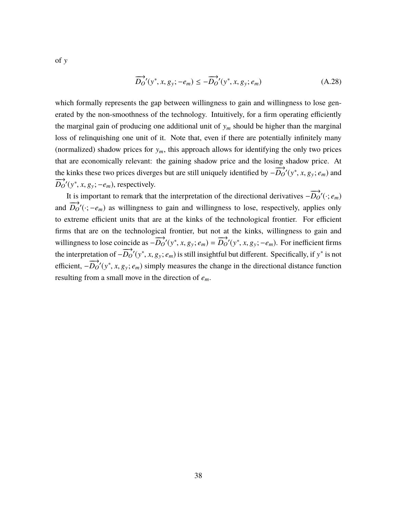of y

$$
\overrightarrow{D_O}'(y^*, x, g_y; -e_m) \le -\overrightarrow{D_O}'(y^*, x, g_y; e_m)
$$
\n(A.28)

which formally represents the gap between willingness to gain and willingness to lose generated by the non-smoothness of the technology. Intuitively, for a firm operating efficiently the marginal gain of producing one additional unit of  $y_m$  should be higher than the marginal loss of relinquishing one unit of it. Note that, even if there are potentially infinitely many (normalized) shadow prices for  $y_m$ , this approach allows for identifying the only two prices that are economically relevant: the gaining shadow price and the losing shadow price. At the kinks these two prices diverges but are still uniquely identified by  $-\overrightarrow{D_O}$  $\overrightarrow{D_O}^{\prime}(y^*, x, g_y; e_m)$  and −−→  $\overrightarrow{Do'}(y^*, x, g_y; -e_m)$ , respectively.

It is important to remark that the interpretation of the directional derivatives  $-\overrightarrow{D_O}$  $\overrightarrow{D_O}'(\cdot; e_m)$ and −−→  $\overrightarrow{Do'}(\cdot; -e_m)$  as willingness to gain and willingness to lose, respectively, applies only to extreme efficient units that are at the kinks of the technological frontier. For efficient firms that are on the technological frontier, but not at the kinks, willingness to gain and willingness to lose coincide as  $-\overrightarrow{D_O}$  $\overrightarrow{D_O}^{\prime}(y^*, x, g_y; e_m) = \overrightarrow{D_O}^{\prime}$  $\overrightarrow{Do'}(y^*, x, g_y; -e_m)$ . For inefficient firms the interpretation of  $-\overrightarrow{D_O}$  $\overrightarrow{Do'}(y^*, x, g_y; e_m)$  is still insightful but different. Specifically, if  $y^*$  is not efficient,  $-\overrightarrow{D_O}$  $\overrightarrow{Do'}(y^*, x, g_y; e_m)$  simply measures the change in the directional distance function resulting from a small move in the direction of *em*.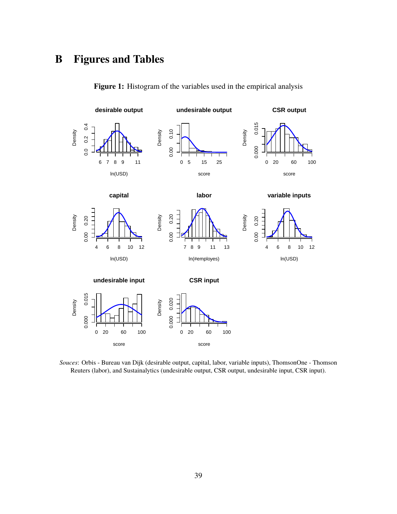# **B Figures and Tables**

<span id="page-40-0"></span>

**Figure 1:** Histogram of the variables used in the empirical analysis

*Souces*: Orbis - Bureau van Dijk (desirable output, capital, labor, variable inputs), ThomsonOne - Thomson Reuters (labor), and Sustainalytics (undesirable output, CSR output, undesirable input, CSR input).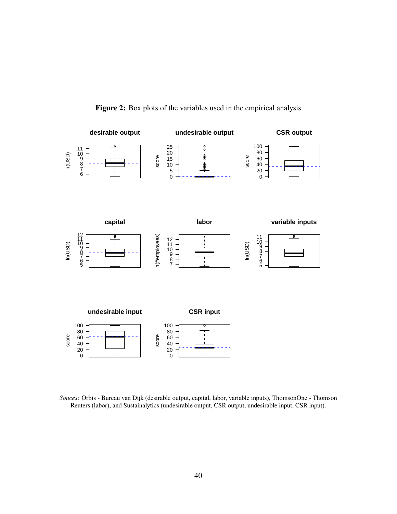<span id="page-41-0"></span>

**Figure 2:** Box plots of the variables used in the empirical analysis

*Souces*: Orbis - Bureau van Dijk (desirable output, capital, labor, variable inputs), ThomsonOne - Thomson Reuters (labor), and Sustainalytics (undesirable output, CSR output, undesirable input, CSR input).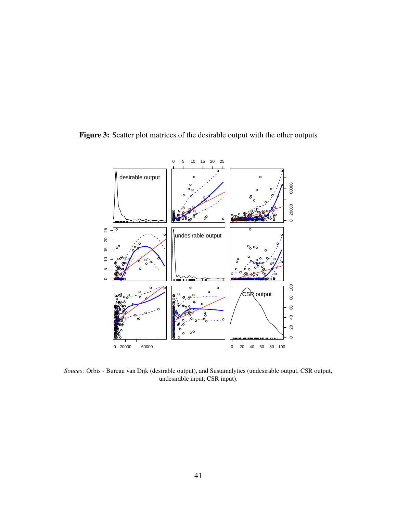<span id="page-42-0"></span>



*Souces*: Orbis - Bureau van Dijk (desirable output), and Sustainalytics (undesirable output, CSR output, undesirable input, CSR input).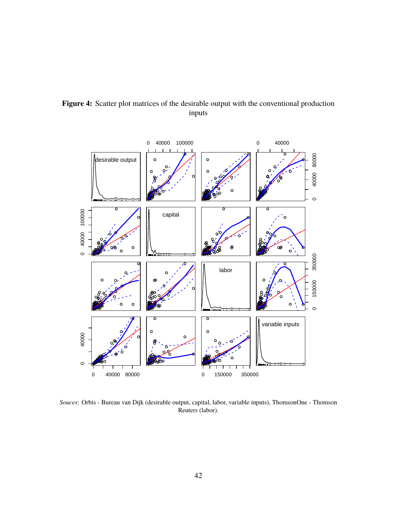<span id="page-43-0"></span>

**Figure 4:** Scatter plot matrices of the desirable output with the conventional production inputs

*Souces*: Orbis - Bureau van Dijk (desirable output, capital, labor, variable inputs), ThomsonOne - Thomson Reuters (labor).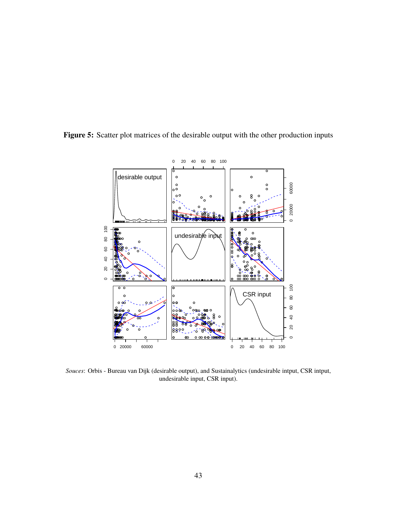<span id="page-44-0"></span>



*Souces*: Orbis - Bureau van Dijk (desirable output), and Sustainalytics (undesirable intput, CSR intput, undesirable input, CSR input).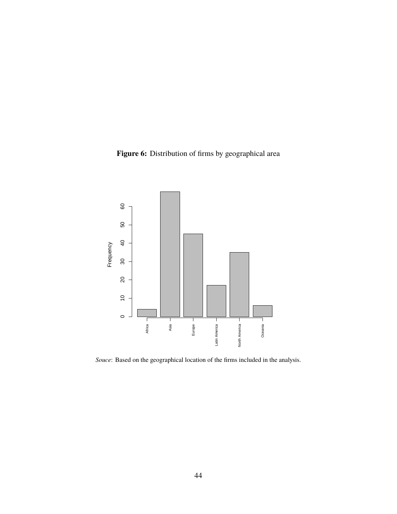**Figure 6:** Distribution of firms by geographical area

<span id="page-45-0"></span>

*Souce*: Based on the geographical location of the firms included in the analysis.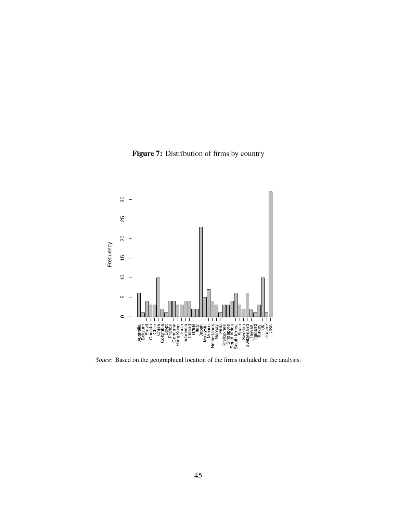**Figure 7:** Distribution of firms by country

<span id="page-46-0"></span>

*Souce*: Based on the geographical location of the firms included in the analysis.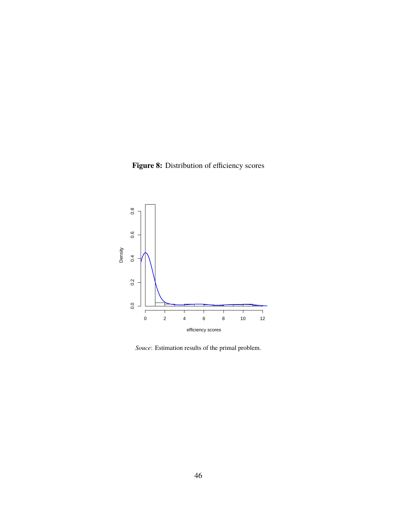**Figure 8:** Distribution of efficiency scores

<span id="page-47-0"></span>

*Souce*: Estimation results of the primal problem.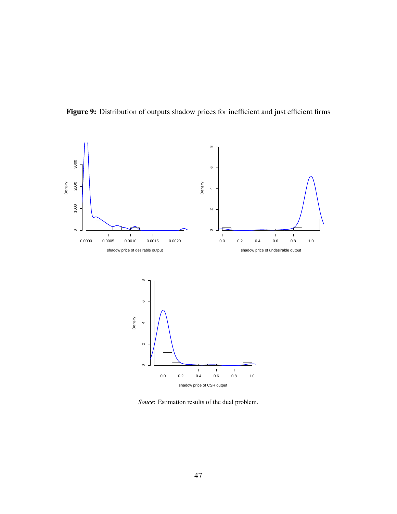<span id="page-48-0"></span>

Figure 9: Distribution of outputs shadow prices for inefficient and just efficient firms



*Souce*: Estimation results of the dual problem.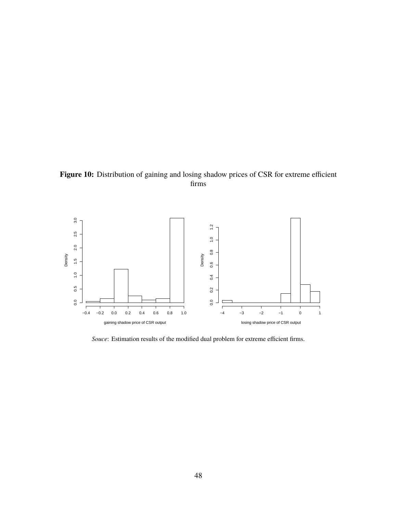

<span id="page-49-0"></span>

*Souce*: Estimation results of the modified dual problem for extreme efficient firms.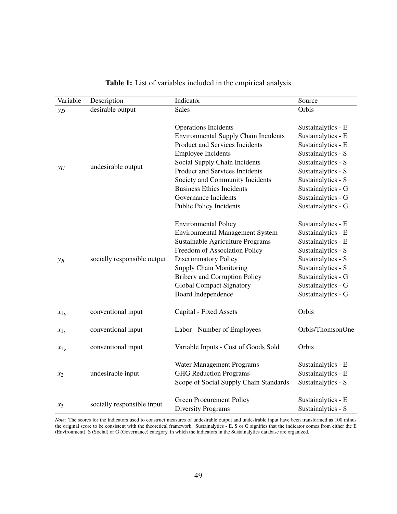<span id="page-50-0"></span>

| Variable  | Description                 | Indicator                                                                                                                                                                                                                                                                                                                                     | Source                                                                                                                                                                                                                   |
|-----------|-----------------------------|-----------------------------------------------------------------------------------------------------------------------------------------------------------------------------------------------------------------------------------------------------------------------------------------------------------------------------------------------|--------------------------------------------------------------------------------------------------------------------------------------------------------------------------------------------------------------------------|
| $y_D$     | desirable output            | <b>Sales</b>                                                                                                                                                                                                                                                                                                                                  | Orbis                                                                                                                                                                                                                    |
| $y_U$     | undesirable output          | <b>Operations Incidents</b><br><b>Environmental Supply Chain Incidents</b><br>Product and Services Incidents<br><b>Employee Incidents</b><br>Social Supply Chain Incidents<br>Product and Services Incidents<br>Society and Community Incidents<br><b>Business Ethics Incidents</b><br>Governance Incidents<br><b>Public Policy Incidents</b> | Sustainalytics - E<br>Sustainalytics - E<br>Sustainalytics - E<br>Sustainalytics - S<br>Sustainalytics - S<br>Sustainalytics - S<br>Sustainalytics - S<br>Sustainalytics - G<br>Sustainalytics - G<br>Sustainalytics - G |
| $y_R$     | socially responsible output | <b>Environmental Policy</b><br><b>Environmental Management System</b><br>Sustainable Agriculture Programs<br>Freedom of Association Policy<br><b>Discriminatory Policy</b><br>Supply Chain Monitoring<br>Bribery and Corruption Policy<br>Global Compact Signatory<br>Board Independence                                                      | Sustainalytics - E<br>Sustainalytics - E<br>Sustainalytics - E<br>Sustainalytics - S<br>Sustainalytics - S<br>Sustainalytics - S<br>Sustainalytics - G<br>Sustainalytics - G<br>Sustainalytics - G                       |
| $x_{1_k}$ | conventional input          | Capital - Fixed Assets                                                                                                                                                                                                                                                                                                                        | Orbis                                                                                                                                                                                                                    |
| $x_{1_l}$ | conventional input          | Labor - Number of Employees                                                                                                                                                                                                                                                                                                                   | Orbis/ThomsonOne                                                                                                                                                                                                         |
| $x_{1_v}$ | conventional input          | Variable Inputs - Cost of Goods Sold                                                                                                                                                                                                                                                                                                          | Orbis                                                                                                                                                                                                                    |
| $x_2$     | undesirable input           | Water Management Programs<br><b>GHG Reduction Programs</b><br>Scope of Social Supply Chain Standards                                                                                                                                                                                                                                          | Sustainalytics - E<br>Sustainalytics - E<br>Sustainalytics - S                                                                                                                                                           |
| $x_3$     | socially responsible input  | <b>Green Procurement Policy</b><br><b>Diversity Programs</b>                                                                                                                                                                                                                                                                                  | Sustainalytics - E<br>Sustainalytics - S                                                                                                                                                                                 |

**Table 1:** List of variables included in the empirical analysis

*Note*: The scores for the indicators used to construct measures of undesirable output and undesirable input have been transformed as 100 minus the original score to be consistent with the theoretical framework. Sustainalytics - E, S or G signifies that the indicator comes from either the E (Environment), S (Social) or G (Governance) category, in which the indicators in the Sustainalytics database are organized.

 $=$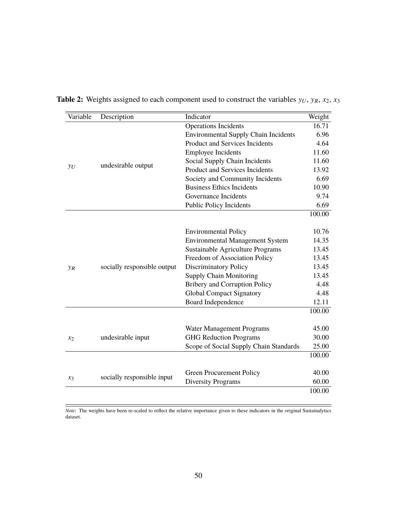<span id="page-51-0"></span>

| Variable | Description                 | Indicator                                   | Weight |
|----------|-----------------------------|---------------------------------------------|--------|
|          |                             | <b>Operations Incidents</b>                 | 16.71  |
|          |                             | <b>Environmental Supply Chain Incidents</b> | 6.96   |
|          |                             | Product and Services Incidents              | 4.64   |
|          |                             | <b>Employee Incidents</b>                   | 11.60  |
|          | undesirable output          | Social Supply Chain Incidents               | 11.60  |
| $y_U$    |                             | Product and Services Incidents              | 13.92  |
|          |                             | Society and Community Incidents             | 6.69   |
|          |                             | <b>Business Ethics Incidents</b>            | 10.90  |
|          |                             | Governance Incidents                        | 9.74   |
|          |                             | <b>Public Policy Incidents</b>              | 6.69   |
|          |                             |                                             | 100.00 |
|          |                             |                                             |        |
|          |                             | <b>Environmental Policy</b>                 | 10.76  |
| $y_R$    |                             | <b>Environmental Management System</b>      | 14.35  |
|          |                             | Sustainable Agriculture Programs            | 13.45  |
|          | socially responsible output | Freedom of Association Policy               | 13.45  |
|          |                             | Discriminatory Policy                       | 13.45  |
|          |                             | <b>Supply Chain Monitoring</b>              | 13.45  |
|          |                             | Bribery and Corruption Policy               | 4.48   |
|          |                             | <b>Global Compact Signatory</b>             | 4.48   |
|          |                             | Board Independence                          | 12.11  |
|          |                             |                                             | 100.00 |
|          |                             |                                             |        |
|          |                             | Water Management Programs                   | 45.00  |
| $x_2$    | undesirable input           | <b>GHG Reduction Programs</b>               | 30.00  |
|          |                             | Scope of Social Supply Chain Standards      | 25.00  |
|          |                             |                                             | 100.00 |
|          |                             | <b>Green Procurement Policy</b>             | 40.00  |
| $x_3$    | socially responsible input  | <b>Diversity Programs</b>                   | 60.00  |
|          |                             |                                             | 100.00 |
|          |                             |                                             |        |

**Table 2:** Weights assigned to each component used to construct the variables  $y_U$ ,  $y_R$ ,  $x_2$ ,  $x_3$ 

*Note*: The weights have been re-scaled to reflect the relative importance given to these indicators in the original Sustainalytics dataset.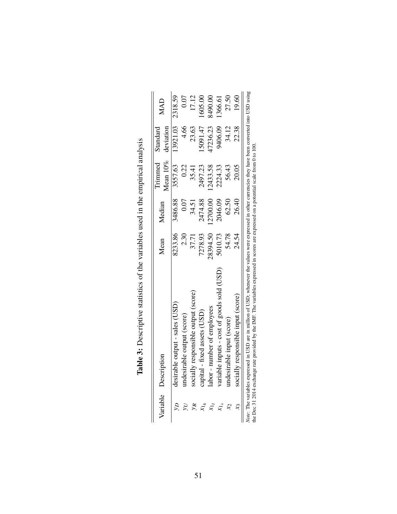| Variable Description                       | Mean    | Median             | Trimmed Standard |           | MAD            |
|--------------------------------------------|---------|--------------------|------------------|-----------|----------------|
|                                            |         |                    | Mean 10%         | deviation |                |
| desirable output - sales (USD)             | 8233.86 |                    | 3486.88 3557.63  | 13921.03  | 2318.59        |
| undesirable output (score)                 | 2.30    | 0.07               | 0.22             | 4.66      | 0.07           |
| socially responsible output (score)        | 37.71   | 34.51              | 35.41            | 23.63     | 17.12          |
| capital - fixed assets (USD)               | 7278.93 | 2474.88            | 2497.23          | 15091.47  | 1605.00        |
| labor - number of employees                | 8394.50 | 2700.00            | 12433.58         | 17236.23  | 8490.00        |
| variable inputs - cost of goods sold (USD) | 5010.73 | 2046.09            | 2224.33          | 9406.09   | 1366.61        |
| indesirable input (score)                  | 54.78   | $62.50$<br>$26.40$ | 56.43<br>20.05   | 34.12     | 27.50<br>19.60 |
| socially responsible input (score)         | 24.54   |                    |                  | 22.38     |                |
|                                            |         |                    |                  |           |                |

<span id="page-52-0"></span>Table 3: Descriptive statistics of the variables used in the empirical analysis **Table 3:** Descriptive statistics of the variables used in the empirical analysis

Note: The variables expressed in USD are in million of USD; whenever the values were expressed in other currencies they have been converted into USD using<br>the Dec 31 2014 exchange rate provided by the IMF. The variables e *Note*: The variables expressed in USD are in million of USD; whenever the values were expressed in other currencies they have been converted into USD using the Dec 31 2014 exchange rate provided by the IMF. The variables expressed in scores are expressed on a potential scale from 0 to 100.